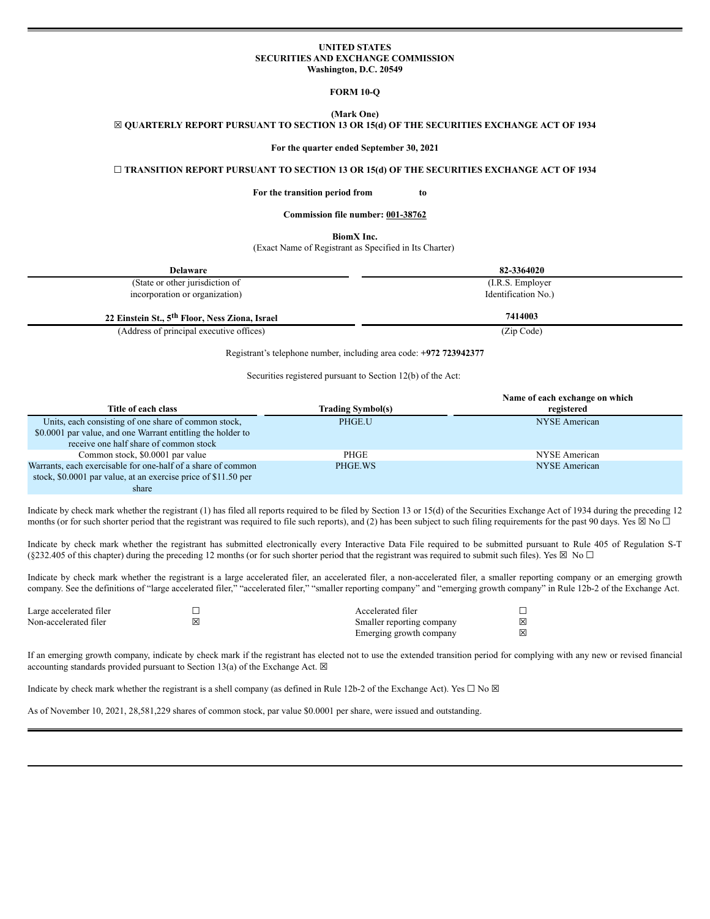### **UNITED STATES SECURITIES AND EXCHANGE COMMISSION Washington, D.C. 20549**

#### **FORM 10-Q**

# **(Mark One)**

## ☒ **QUARTERLY REPORT PURSUANT TO SECTION 13 OR 15(d) OF THE SECURITIES EXCHANGE ACT OF 1934**

### **For the quarter ended September 30, 2021**

### ☐ **TRANSITION REPORT PURSUANT TO SECTION 13 OR 15(d) OF THE SECURITIES EXCHANGE ACT OF 1934**

**For the transition period from to**

**Commission file number: 001-38762**

**BiomX Inc.**

(Exact Name of Registrant as Specified in Its Charter)

| <b>Delaware</b>                                            | 82-3364020          |
|------------------------------------------------------------|---------------------|
| (State or other jurisdiction of                            | (I.R.S. Employer)   |
| incorporation or organization)                             | Identification No.) |
| 22 Einstein St., 5 <sup>th</sup> Floor, Ness Ziona, Israel | 7414003             |
| (Address of principal executive offices)                   | (Zip Code)          |

Registrant's telephone number, including area code: **+972 723942377**

Securities registered pursuant to Section 12(b) of the Act:

|                                                                |                          | Name of each exchange on which |
|----------------------------------------------------------------|--------------------------|--------------------------------|
| Title of each class                                            | <b>Trading Symbol(s)</b> | registered                     |
| Units, each consisting of one share of common stock,           | PHGE.U                   | NYSE American                  |
| \$0.0001 par value, and one Warrant entitling the holder to    |                          |                                |
| receive one half share of common stock                         |                          |                                |
| Common stock, \$0.0001 par value                               | PHGE                     | NYSE American                  |
| Warrants, each exercisable for one-half of a share of common   | PHGE.WS                  | NYSE American                  |
| stock, \$0.0001 par value, at an exercise price of \$11.50 per |                          |                                |
| share                                                          |                          |                                |

Indicate by check mark whether the registrant (1) has filed all reports required to be filed by Section 13 or 15(d) of the Securities Exchange Act of 1934 during the preceding 12 months (or for such shorter period that the registrant was required to file such reports), and (2) has been subject to such filing requirements for the past 90 days. Yes  $\boxtimes$  No  $\Box$ 

Indicate by check mark whether the registrant has submitted electronically every Interactive Data File required to be submitted pursuant to Rule 405 of Regulation S-T (§232.405 of this chapter) during the preceding 12 months (or for such shorter period that the registrant was required to submit such files). Yes  $\boxtimes$  No  $\Box$ 

Indicate by check mark whether the registrant is a large accelerated filer, an accelerated filer, a non-accelerated filer, a smaller reporting company or an emerging growth company. See the definitions of "large accelerated filer," "accelerated filer," "smaller reporting company" and "emerging growth company" in Rule 12b-2 of the Exchange Act.

| Large accelerated filer | Accelerated filer         |   |
|-------------------------|---------------------------|---|
| Non-accelerated filer   | Smaller reporting company | 冈 |
|                         | Emerging growth company   | 冈 |

If an emerging growth company, indicate by check mark if the registrant has elected not to use the extended transition period for complying with any new or revised financial accounting standards provided pursuant to Section 13(a) of the Exchange Act.  $\boxtimes$ 

Indicate by check mark whether the registrant is a shell company (as defined in Rule 12b-2 of the Exchange Act). Yes  $\Box$  No  $\boxtimes$ 

As of November 10, 2021, 28,581,229 shares of common stock, par value \$0.0001 per share, were issued and outstanding.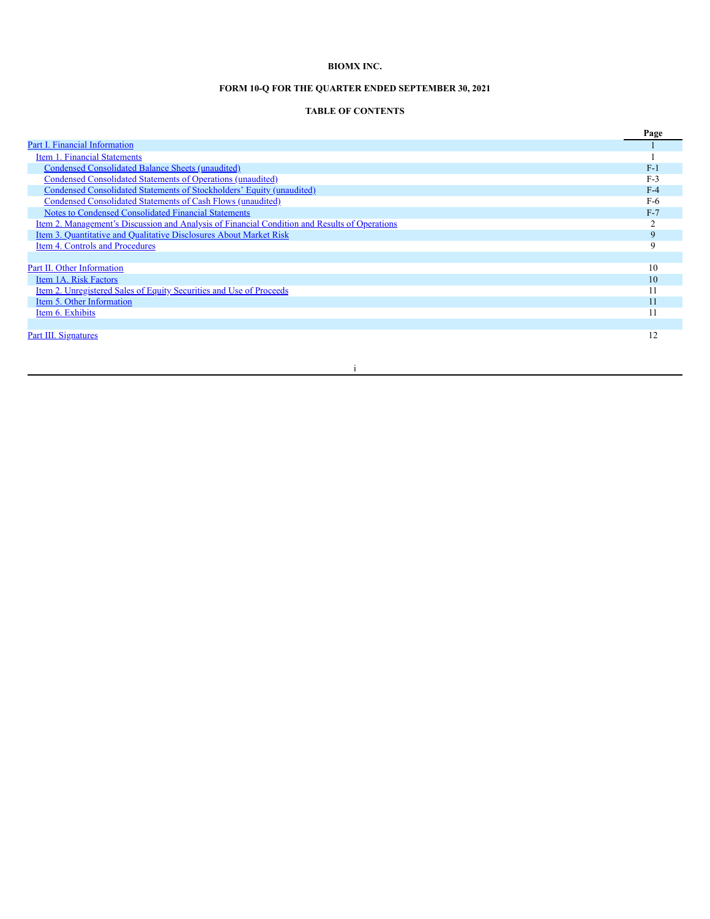# **BIOMX INC.**

# **FORM 10-Q FOR THE QUARTER ENDED SEPTEMBER 30, 2021**

# **TABLE OF CONTENTS**

|                                                                                               | Page  |
|-----------------------------------------------------------------------------------------------|-------|
| Part I. Financial Information                                                                 |       |
| Item 1. Financial Statements                                                                  |       |
| Condensed Consolidated Balance Sheets (unaudited)                                             | $F-1$ |
| Condensed Consolidated Statements of Operations (unaudited)                                   | $F-3$ |
| Condensed Consolidated Statements of Stockholders' Equity (unaudited)                         | $F-4$ |
| Condensed Consolidated Statements of Cash Flows (unaudited)                                   | $F-6$ |
| Notes to Condensed Consolidated Financial Statements                                          | $F-7$ |
| Item 2. Management's Discussion and Analysis of Financial Condition and Results of Operations |       |
| <u>Item 3. Quantitative and Qualitative Disclosures About Market Risk</u>                     | 9     |
| Item 4. Controls and Procedures                                                               | q     |
|                                                                                               |       |
| Part II. Other Information                                                                    | 10    |
| Item 1A. Risk Factors                                                                         | 10    |
| <u>Item 2. Unregistered Sales of Equity Securities and Use of Proceeds</u>                    | 11    |
| Item 5. Other Information                                                                     | 11    |
| Item 6. Exhibits                                                                              |       |
|                                                                                               |       |
| Part III. Signatures                                                                          | 12    |

i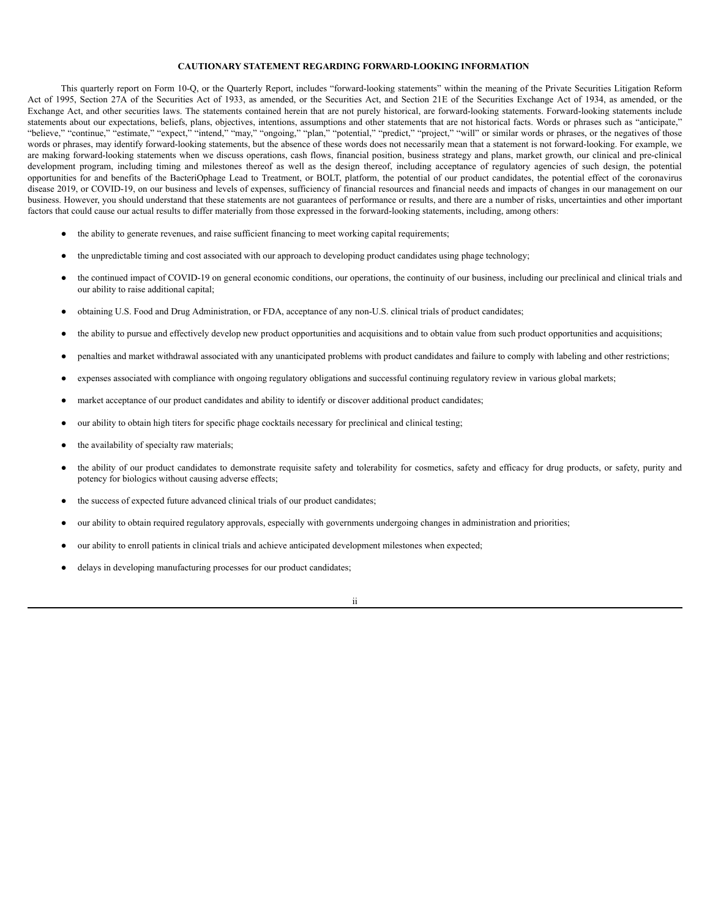#### **CAUTIONARY STATEMENT REGARDING FORWARD-LOOKING INFORMATION**

This quarterly report on Form 10-Q, or the Quarterly Report, includes "forward-looking statements" within the meaning of the Private Securities Litigation Reform Act of 1995, Section 27A of the Securities Act of 1933, as amended, or the Securities Act, and Section 21E of the Securities Exchange Act of 1934, as amended, or the Exchange Act, and other securities laws. The statements contained herein that are not purely historical, are forward-looking statements. Forward-looking statements include statements about our expectations, beliefs, plans, objectives, intentions, assumptions and other statements that are not historical facts. Words or phrases such as "anticipate," "believe," "continue," "estimate," "expect," "intend," "may," "ongoing," "plan," "potential," "predict," "project," "will" or similar words or phrases, or the negatives of those words or phrases, may identify forward-looking statements, but the absence of these words does not necessarily mean that a statement is not forward-looking. For example, we are making forward-looking statements when we discuss operations, cash flows, financial position, business strategy and plans, market growth, our clinical and pre-clinical development program, including timing and milestones thereof as well as the design thereof, including acceptance of regulatory agencies of such design, the potential opportunities for and benefits of the BacteriOphage Lead to Treatment, or BOLT, platform, the potential of our product candidates, the potential effect of the coronavirus disease 2019, or COVID-19, on our business and levels of expenses, sufficiency of financial resources and financial needs and impacts of changes in our management on our business. However, you should understand that these statements are not guarantees of performance or results, and there are a number of risks, uncertainties and other important factors that could cause our actual results to differ materially from those expressed in the forward-looking statements, including, among others:

- the ability to generate revenues, and raise sufficient financing to meet working capital requirements;
- the unpredictable timing and cost associated with our approach to developing product candidates using phage technology;
- the continued impact of COVID-19 on general economic conditions, our operations, the continuity of our business, including our preclinical and clinical trials and our ability to raise additional capital;
- obtaining U.S. Food and Drug Administration, or FDA, acceptance of any non-U.S. clinical trials of product candidates;
- the ability to pursue and effectively develop new product opportunities and acquisitions and to obtain value from such product opportunities and acquisitions;
- penalties and market withdrawal associated with any unanticipated problems with product candidates and failure to comply with labeling and other restrictions;
- expenses associated with compliance with ongoing regulatory obligations and successful continuing regulatory review in various global markets;
- market acceptance of our product candidates and ability to identify or discover additional product candidates;
- our ability to obtain high titers for specific phage cocktails necessary for preclinical and clinical testing;
- the availability of specialty raw materials;
- the ability of our product candidates to demonstrate requisite safety and tolerability for cosmetics, safety and efficacy for drug products, or safety, purity and potency for biologics without causing adverse effects;
- the success of expected future advanced clinical trials of our product candidates;
- our ability to obtain required regulatory approvals, especially with governments undergoing changes in administration and priorities;
- our ability to enroll patients in clinical trials and achieve anticipated development milestones when expected;
- delays in developing manufacturing processes for our product candidates;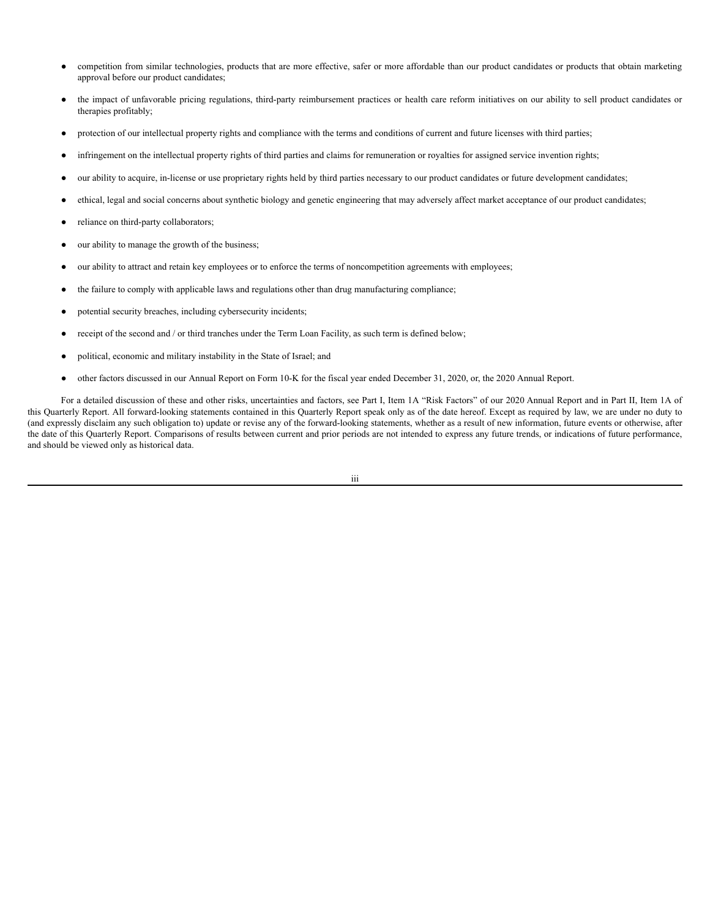- competition from similar technologies, products that are more effective, safer or more affordable than our product candidates or products that obtain marketing approval before our product candidates;
- the impact of unfavorable pricing regulations, third-party reimbursement practices or health care reform initiatives on our ability to sell product candidates or therapies profitably;
- protection of our intellectual property rights and compliance with the terms and conditions of current and future licenses with third parties;
- infringement on the intellectual property rights of third parties and claims for remuneration or royalties for assigned service invention rights;
- our ability to acquire, in-license or use proprietary rights held by third parties necessary to our product candidates or future development candidates;
- ethical, legal and social concerns about synthetic biology and genetic engineering that may adversely affect market acceptance of our product candidates;
- reliance on third-party collaborators;
- our ability to manage the growth of the business;
- our ability to attract and retain key employees or to enforce the terms of noncompetition agreements with employees;
- the failure to comply with applicable laws and regulations other than drug manufacturing compliance;
- potential security breaches, including cybersecurity incidents;
- receipt of the second and / or third tranches under the Term Loan Facility, as such term is defined below;
- political, economic and military instability in the State of Israel; and
- other factors discussed in our Annual Report on Form 10-K for the fiscal year ended December 31, 2020, or, the 2020 Annual Report.

For a detailed discussion of these and other risks, uncertainties and factors, see Part I, Item 1A "Risk Factors" of our 2020 Annual Report and in Part II, Item 1A of this Quarterly Report. All forward-looking statements contained in this Quarterly Report speak only as of the date hereof. Except as required by law, we are under no duty to (and expressly disclaim any such obligation to) update or revise any of the forward-looking statements, whether as a result of new information, future events or otherwise, after the date of this Quarterly Report. Comparisons of results between current and prior periods are not intended to express any future trends, or indications of future performance, and should be viewed only as historical data.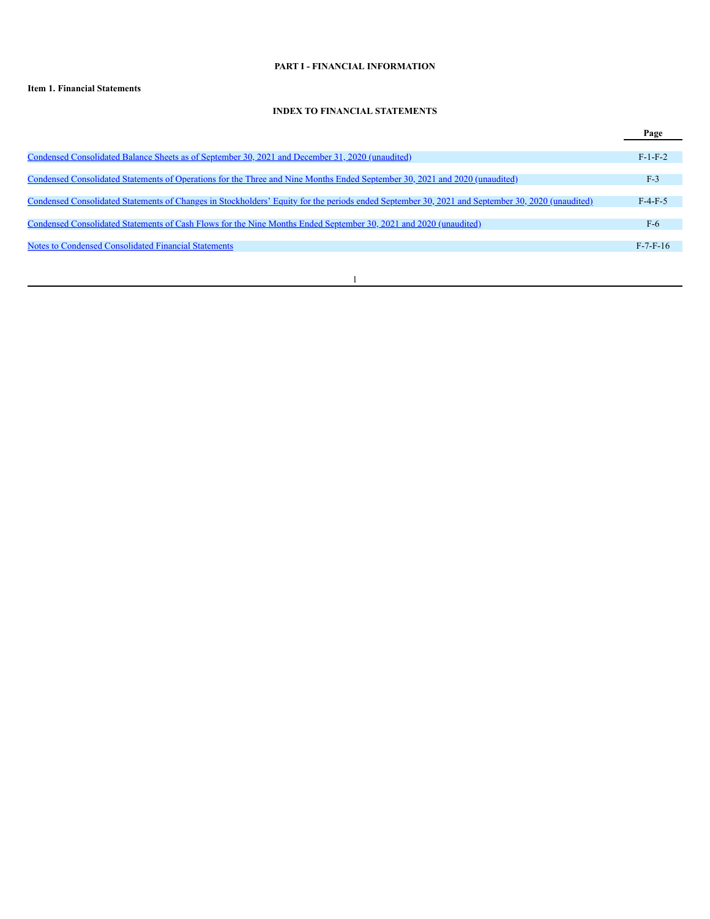# **PART I - FINANCIAL INFORMATION**

# <span id="page-4-1"></span><span id="page-4-0"></span>**Item 1. Financial Statements**

# **INDEX TO FINANCIAL STATEMENTS**

|                                                                                                                                                  | Page       |
|--------------------------------------------------------------------------------------------------------------------------------------------------|------------|
|                                                                                                                                                  |            |
| Condensed Consolidated Balance Sheets as of September 30, 2021 and December 31, 2020 (unaudited)                                                 | $F-1-F-2$  |
|                                                                                                                                                  |            |
| Condensed Consolidated Statements of Operations for the Three and Nine Months Ended September 30, 2021 and 2020 (unaudited)                      | $F-3$      |
|                                                                                                                                                  |            |
| Condensed Consolidated Statements of Changes in Stockholders' Equity for the periods ended September 30, 2021 and September 30, 2020 (unaudited) | $F-4-F-5$  |
|                                                                                                                                                  |            |
| Condensed Consolidated Statements of Cash Flows for the Nine Months Ended September 30, 2021 and 2020 (unaudited)                                | $F-6$      |
|                                                                                                                                                  |            |
| Notes to Condensed Consolidated Financial Statements                                                                                             | $F-7-F-16$ |
|                                                                                                                                                  |            |
|                                                                                                                                                  |            |

1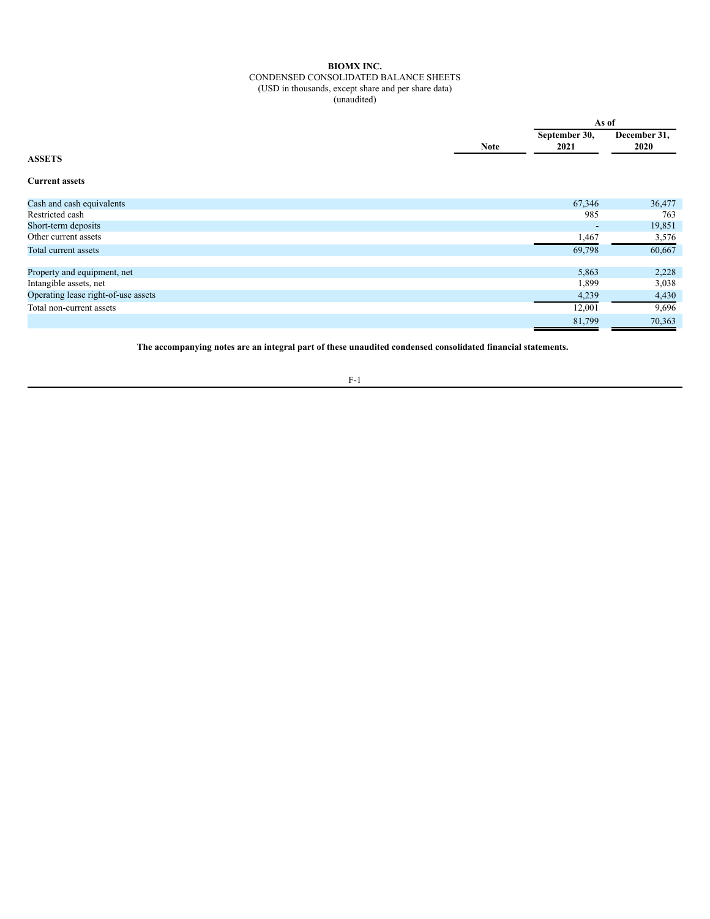## **BIOMX INC.** CONDENSED CONSOLIDATED BALANCE SHEETS (USD in thousands, except share and per share data) (unaudited)

<span id="page-5-0"></span>

|                                     |             | As of                 |                      |
|-------------------------------------|-------------|-----------------------|----------------------|
|                                     | <b>Note</b> | September 30,<br>2021 | December 31,<br>2020 |
| <b>ASSETS</b>                       |             |                       |                      |
| <b>Current assets</b>               |             |                       |                      |
| Cash and cash equivalents           |             | 67,346                | 36,477               |
| Restricted cash                     |             | 985                   | 763                  |
| Short-term deposits                 |             | ۰                     | 19,851               |
| Other current assets                |             | 1,467                 | 3,576                |
| Total current assets                |             | 69,798                | 60,667               |
|                                     |             |                       |                      |
| Property and equipment, net         |             | 5,863                 | 2,228                |
| Intangible assets, net              |             | 1,899                 | 3,038                |
| Operating lease right-of-use assets |             | 4,239                 | 4,430                |
| Total non-current assets            |             | 12,001                | 9,696                |
|                                     |             | 81,799                | 70,363               |

**The accompanying notes are an integral part of these unaudited condensed consolidated financial statements.**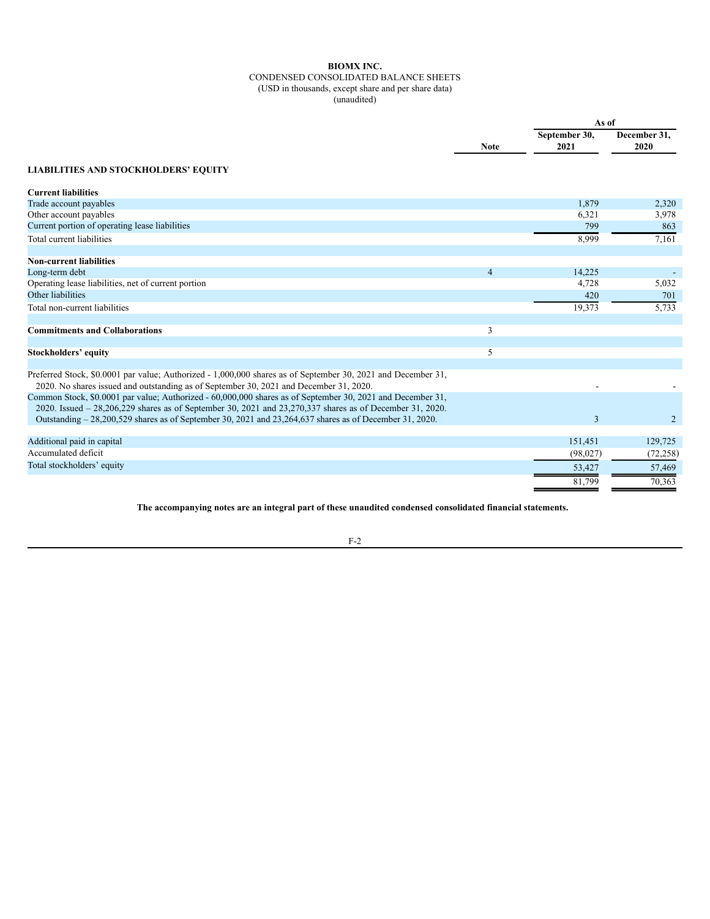## **BIOMX INC.** CONDENSED CONSOLIDATED BALANCE SHEETS (USD in thousands, except share and per share data) (unaudited)

|                                                                                                                                                                                                                            |                | As of                 |                      |
|----------------------------------------------------------------------------------------------------------------------------------------------------------------------------------------------------------------------------|----------------|-----------------------|----------------------|
|                                                                                                                                                                                                                            | <b>Note</b>    | September 30,<br>2021 | December 31,<br>2020 |
| <b>LIABILITIES AND STOCKHOLDERS' EQUITY</b>                                                                                                                                                                                |                |                       |                      |
| <b>Current liabilities</b>                                                                                                                                                                                                 |                |                       |                      |
| Trade account payables                                                                                                                                                                                                     |                | 1,879                 | 2,320                |
| Other account payables                                                                                                                                                                                                     |                | 6,321                 | 3,978                |
| Current portion of operating lease liabilities                                                                                                                                                                             |                | 799                   | 863                  |
| Total current liabilities                                                                                                                                                                                                  |                | 8,999                 | 7,161                |
| <b>Non-current liabilities</b>                                                                                                                                                                                             |                |                       |                      |
| Long-term debt                                                                                                                                                                                                             | $\overline{4}$ | 14,225                |                      |
| Operating lease liabilities, net of current portion                                                                                                                                                                        |                | 4,728                 | 5,032                |
| Other liabilities                                                                                                                                                                                                          |                | 420                   | 701                  |
| Total non-current liabilities                                                                                                                                                                                              |                | 19,373                | 5,733                |
| <b>Commitments and Collaborations</b>                                                                                                                                                                                      | 3              |                       |                      |
| <b>Stockholders' equity</b>                                                                                                                                                                                                | 5              |                       |                      |
| Preferred Stock, \$0.0001 par value; Authorized - 1,000,000 shares as of September 30, 2021 and December 31,<br>2020. No shares issued and outstanding as of September 30, 2021 and December 31, 2020.                     |                |                       |                      |
| Common Stock, \$0.0001 par value; Authorized - 60,000,000 shares as of September 30, 2021 and December 31,<br>2020. Issued - 28, 206, 229 shares as of September 30, 2021 and 23, 270, 337 shares as of December 31, 2020. |                |                       |                      |
| Outstanding $-28,200,529$ shares as of September 30, 2021 and 23,264,637 shares as of December 31, 2020.                                                                                                                   |                | $\overline{3}$        | 2                    |
| Additional paid in capital                                                                                                                                                                                                 |                | 151,451               | 129,725              |
| Accumulated deficit                                                                                                                                                                                                        |                | (98,027)              | (72, 258)            |
| Total stockholders' equity                                                                                                                                                                                                 |                | 53,427                | 57,469               |
|                                                                                                                                                                                                                            |                | 81,799                | 70,363               |

**The accompanying notes are an integral part of these unaudited condensed consolidated financial statements.**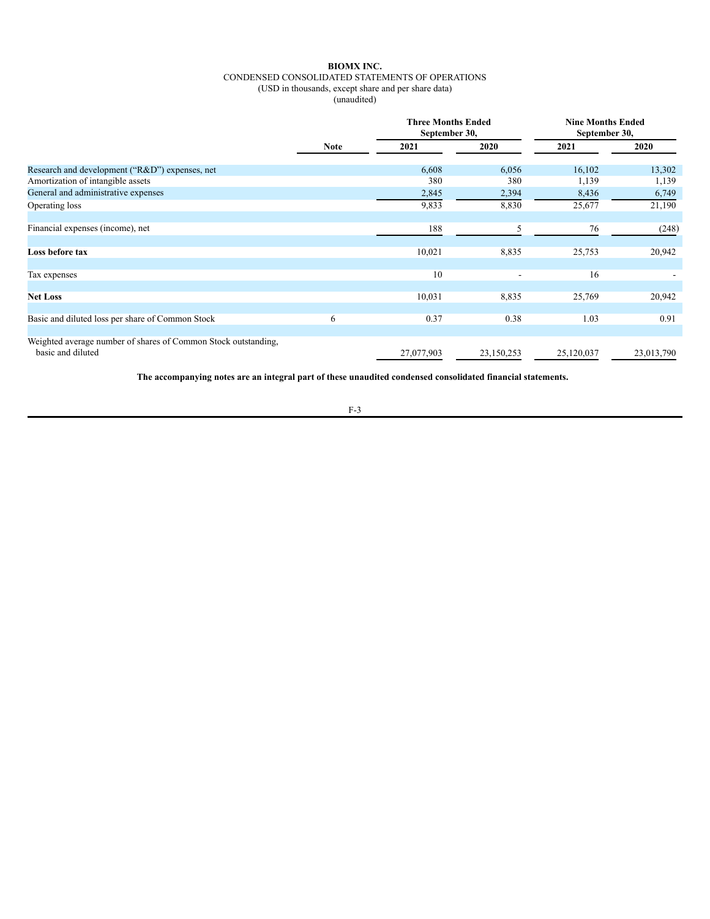### **BIOMX INC.** CONDENSED CONSOLIDATED STATEMENTS OF OPERATIONS (USD in thousands, except share and per share data) (unaudited)

<span id="page-7-0"></span>

| <b>Three Months Ended</b><br>September 30, |                | <b>Nine Months Ended</b><br>September 30, |                 |
|--------------------------------------------|----------------|-------------------------------------------|-----------------|
| 2021                                       | 2020           | 2021                                      | 2020            |
|                                            |                |                                           | 13,302          |
| 380                                        | 380            |                                           | 1,139           |
| 2,845                                      | 2,394          | 8,436                                     | 6,749           |
| 9,833                                      | 8,830          | 25,677                                    | 21,190          |
| 188                                        | 5              | 76                                        | (248)           |
| 10,021                                     | 8,835          | 25,753                                    | 20,942          |
| 10                                         | $\blacksquare$ | 16                                        |                 |
| 10,031                                     | 8,835          | 25,769                                    | 20,942          |
| 0.37                                       | 0.38           | 1.03                                      | 0.91            |
| 27,077,903                                 | 23,150,253     | 25,120,037                                | 23,013,790      |
|                                            | 6,608          | 6,056                                     | 16,102<br>1,139 |

**The accompanying notes are an integral part of these unaudited condensed consolidated financial statements.**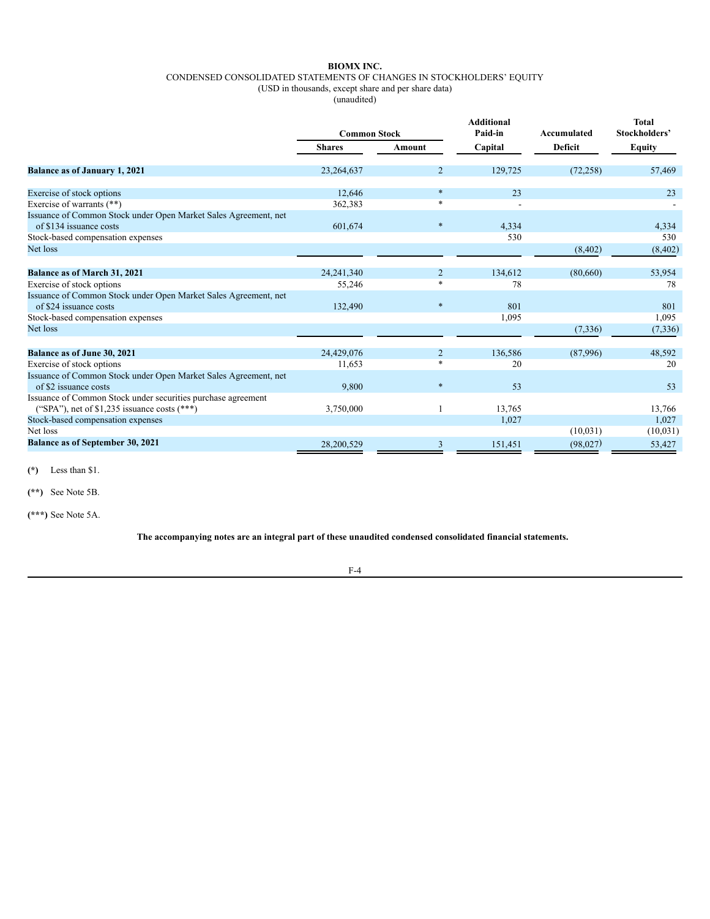# **BIOMX INC.**

#### CONDENSED CONSOLIDATED STATEMENTS OF CHANGES IN STOCKHOLDERS' EQUITY (USD in thousands, except share and per share data)

(unaudited)

<span id="page-8-0"></span>

|                                                                 | <b>Common Stock</b> |                |         |                | <b>Additional</b><br>Paid-in | Accumulated | <b>Total</b><br>Stockholders' |
|-----------------------------------------------------------------|---------------------|----------------|---------|----------------|------------------------------|-------------|-------------------------------|
|                                                                 | <b>Shares</b>       | Amount         | Capital | <b>Deficit</b> | <b>Equity</b>                |             |                               |
| <b>Balance as of January 1, 2021</b>                            | 23,264,637          | $\overline{2}$ | 129,725 | (72, 258)      | 57,469                       |             |                               |
| Exercise of stock options                                       | 12,646              | $\ast$         | 23      |                | 23                           |             |                               |
| Exercise of warrants $(**)$                                     | 362,383             | $\ast$         |         |                |                              |             |                               |
| Issuance of Common Stock under Open Market Sales Agreement, net |                     |                |         |                |                              |             |                               |
| of \$134 issuance costs                                         | 601,674             | $\ast$         | 4,334   |                | 4,334                        |             |                               |
| Stock-based compensation expenses                               |                     |                | 530     |                | 530                          |             |                               |
| Net loss                                                        |                     |                |         | (8,402)        | (8, 402)                     |             |                               |
| <b>Balance as of March 31, 2021</b>                             | 24, 241, 340        | $\overline{2}$ | 134,612 | (80,660)       | 53,954                       |             |                               |
| Exercise of stock options                                       | 55,246              | $\ast$         | 78      |                | 78                           |             |                               |
| Issuance of Common Stock under Open Market Sales Agreement, net |                     |                |         |                |                              |             |                               |
| of \$24 issuance costs                                          | 132,490             | $\ast$         | 801     |                | 801                          |             |                               |
| Stock-based compensation expenses                               |                     |                | 1,095   |                | 1,095                        |             |                               |
| Net loss                                                        |                     |                |         | (7, 336)       | (7, 336)                     |             |                               |
| Balance as of June 30, 2021                                     | 24,429,076          | $\overline{2}$ | 136,586 | (87,996)       | 48,592                       |             |                               |
| Exercise of stock options                                       | 11,653              | $\ast$         | 20      |                | 20                           |             |                               |
| Issuance of Common Stock under Open Market Sales Agreement, net |                     |                |         |                |                              |             |                               |
| of \$2 issuance costs                                           | 9,800               | $\ast$         | 53      |                | 53                           |             |                               |
| Issuance of Common Stock under securities purchase agreement    |                     |                |         |                |                              |             |                               |
| ("SPA"), net of \$1,235 issuance costs $(***)$                  | 3,750,000           |                | 13,765  |                | 13,766                       |             |                               |
| Stock-based compensation expenses                               |                     |                | 1,027   |                | 1,027                        |             |                               |
| Net loss                                                        |                     |                |         | (10, 031)      | (10, 031)                    |             |                               |
| <b>Balance as of September 30, 2021</b>                         | 28,200,529          | 3              | 151,451 | (98,027)       | 53,427                       |             |                               |

**(\*)** Less than \$1.

**(\*\*)** See Note 5B.

**(\*\*\*)** See Note 5A.

**The accompanying notes are an integral part of these unaudited condensed consolidated financial statements.**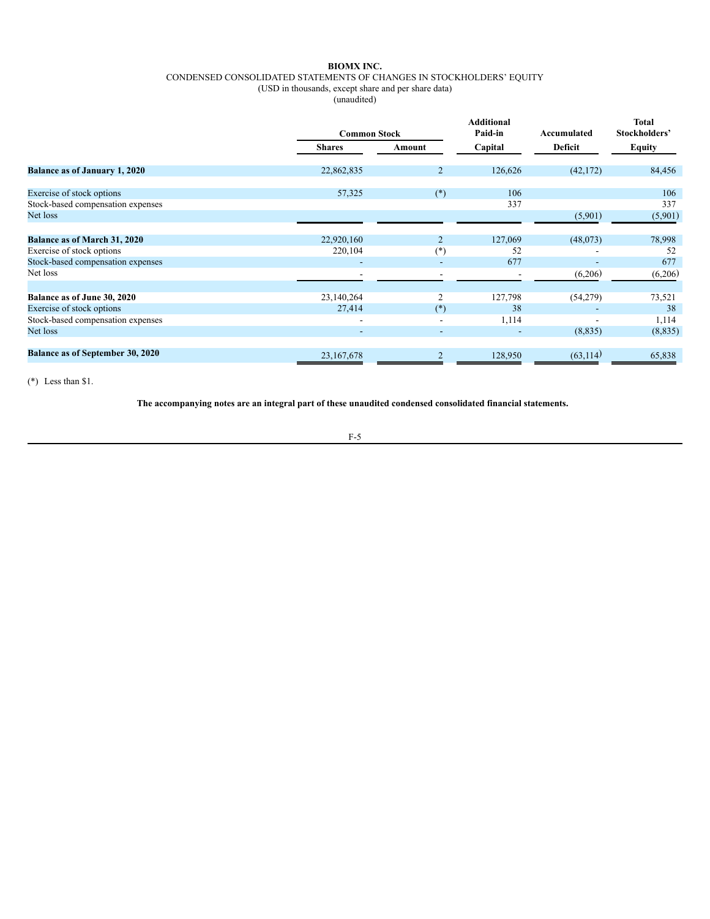# **BIOMX INC.**

#### CONDENSED CONSOLIDATED STATEMENTS OF CHANGES IN STOCKHOLDERS' EQUITY (USD in thousands, except share and per share data)

(unaudited)

|                                         | <b>Common Stock</b>      |                | <b>Additional</b><br>Paid-in<br>Accumulated |           | <b>Total</b><br>Stockholders' |
|-----------------------------------------|--------------------------|----------------|---------------------------------------------|-----------|-------------------------------|
|                                         | <b>Shares</b>            | Amount         | Capital                                     | Deficit   | Equity                        |
| <b>Balance as of January 1, 2020</b>    | 22,862,835               | 2              | 126,626                                     | (42, 172) | 84,456                        |
| Exercise of stock options               | 57,325                   | $(*)$          | 106                                         |           | 106                           |
| Stock-based compensation expenses       |                          |                | 337                                         |           | 337                           |
| Net loss                                |                          |                |                                             | (5,901)   | (5,901)                       |
| Balance as of March 31, 2020            | 22,920,160               | $\overline{2}$ | 127,069                                     | (48,073)  | 78,998                        |
| Exercise of stock options               | 220,104                  | $(*)$          | 52                                          |           | 52                            |
| Stock-based compensation expenses       | ٠                        |                | 677                                         | ٠         | 677                           |
| Net loss                                | $\overline{\phantom{a}}$ |                |                                             | (6,206)   | (6,206)                       |
| Balance as of June 30, 2020             | 23,140,264               | 2              | 127,798                                     | (54,279)  | 73,521                        |
| Exercise of stock options               | 27,414                   | $(*)$          | 38                                          | ٠         | 38                            |
| Stock-based compensation expenses       | ۰                        |                | 1,114                                       |           | 1,114                         |
| Net loss                                | ٠                        | ۰              |                                             | (8, 835)  | (8, 835)                      |
| <b>Balance as of September 30, 2020</b> | 23,167,678               |                | 128,950                                     | (63, 114) | 65,838                        |

(\*) Less than \$1.

**The accompanying notes are an integral part of these unaudited condensed consolidated financial statements.**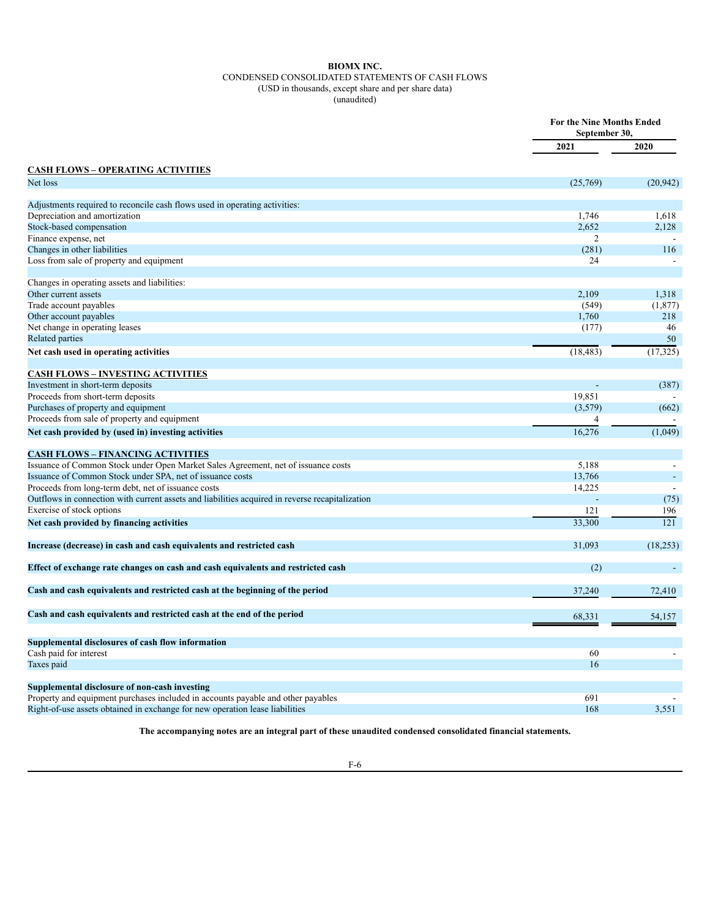### **BIOMX INC.** CONDENSED CONSOLIDATED STATEMENTS OF CASH FLOWS (USD in thousands, except share and per share data) (unaudited)

<span id="page-10-0"></span>

|                                                                                                 | <b>For the Nine Months Ended</b><br>September 30, |           |
|-------------------------------------------------------------------------------------------------|---------------------------------------------------|-----------|
|                                                                                                 | 2021                                              | 2020      |
| <u> CASH FLOWS – OPERATING ACTIVITIES</u>                                                       |                                                   |           |
| Net loss                                                                                        | (25,769)                                          | (20, 942) |
| Adjustments required to reconcile cash flows used in operating activities:                      |                                                   |           |
| Depreciation and amortization                                                                   | 1,746                                             | 1,618     |
| Stock-based compensation                                                                        | 2,652                                             | 2,128     |
| Finance expense, net                                                                            | 2                                                 |           |
| Changes in other liabilities                                                                    | (281)                                             | 116       |
| Loss from sale of property and equipment                                                        | 24                                                |           |
| Changes in operating assets and liabilities:                                                    |                                                   |           |
| Other current assets                                                                            | 2,109                                             | 1,318     |
| Trade account payables                                                                          | (549)                                             | (1, 877)  |
| Other account payables                                                                          | 1,760                                             | 218       |
| Net change in operating leases                                                                  | (177)                                             | 46        |
| Related parties                                                                                 |                                                   | 50        |
| Net cash used in operating activities                                                           | (18, 483)                                         | (17, 325) |
|                                                                                                 |                                                   |           |
| <u> CASH FLOWS – INVESTING ACTIVITIES</u>                                                       |                                                   |           |
| Investment in short-term deposits                                                               |                                                   | (387)     |
| Proceeds from short-term deposits                                                               | 19,851                                            |           |
| Purchases of property and equipment                                                             | (3,579)                                           | (662)     |
| Proceeds from sale of property and equipment                                                    |                                                   |           |
| Net cash provided by (used in) investing activities                                             | 16,276                                            | (1,049)   |
| <u> CASH FLOWS – FINANCING ACTIVITIES</u>                                                       |                                                   |           |
| Issuance of Common Stock under Open Market Sales Agreement, net of issuance costs               | 5,188                                             |           |
| Issuance of Common Stock under SPA, net of issuance costs                                       | 13,766                                            |           |
| Proceeds from long-term debt, net of issuance costs                                             | 14,225                                            |           |
| Outflows in connection with current assets and liabilities acquired in reverse recapitalization |                                                   | (75)      |
| Exercise of stock options                                                                       | 121                                               | 196       |
| Net cash provided by financing activities                                                       | 33,300                                            | 121       |
| Increase (decrease) in cash and cash equivalents and restricted cash                            | 31,093                                            | (18, 253) |
| Effect of exchange rate changes on cash and cash equivalents and restricted cash                | (2)                                               |           |
|                                                                                                 |                                                   |           |
| Cash and cash equivalents and restricted cash at the beginning of the period                    | 37,240                                            | 72,410    |
| Cash and cash equivalents and restricted cash at the end of the period                          | 68,331                                            | 54,157    |
| Supplemental disclosures of cash flow information                                               |                                                   |           |
| Cash paid for interest                                                                          | 60                                                |           |
| Taxes paid                                                                                      | 16                                                |           |
| Supplemental disclosure of non-cash investing                                                   |                                                   |           |
| Property and equipment purchases included in accounts payable and other payables                | 691                                               |           |
| Right-of-use assets obtained in exchange for new operation lease liabilities                    | 168                                               | 3,551     |
|                                                                                                 |                                                   |           |

**The accompanying notes are an integral part of these unaudited condensed consolidated financial statements.**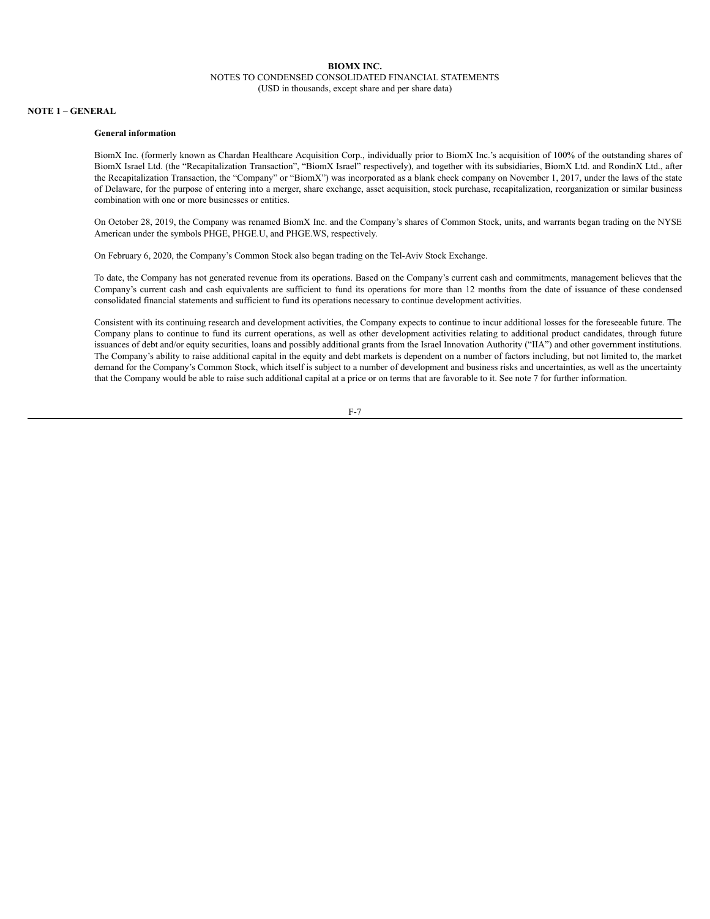#### <span id="page-11-0"></span>**NOTE 1 – GENERAL**

### **General information**

BiomX Inc. (formerly known as Chardan Healthcare Acquisition Corp., individually prior to BiomX Inc.'s acquisition of 100% of the outstanding shares of BiomX Israel Ltd. (the "Recapitalization Transaction", "BiomX Israel" respectively), and together with its subsidiaries, BiomX Ltd. and RondinX Ltd., after the Recapitalization Transaction, the "Company" or "BiomX") was incorporated as a blank check company on November 1, 2017, under the laws of the state of Delaware, for the purpose of entering into a merger, share exchange, asset acquisition, stock purchase, recapitalization, reorganization or similar business combination with one or more businesses or entities.

On October 28, 2019, the Company was renamed BiomX Inc. and the Company's shares of Common Stock, units, and warrants began trading on the NYSE American under the symbols PHGE, PHGE.U, and PHGE.WS, respectively.

On February 6, 2020, the Company's Common Stock also began trading on the Tel-Aviv Stock Exchange.

To date, the Company has not generated revenue from its operations. Based on the Company's current cash and commitments, management believes that the Company's current cash and cash equivalents are sufficient to fund its operations for more than 12 months from the date of issuance of these condensed consolidated financial statements and sufficient to fund its operations necessary to continue development activities.

Consistent with its continuing research and development activities, the Company expects to continue to incur additional losses for the foreseeable future. The Company plans to continue to fund its current operations, as well as other development activities relating to additional product candidates, through future issuances of debt and/or equity securities, loans and possibly additional grants from the Israel Innovation Authority ("IIA") and other government institutions. The Company's ability to raise additional capital in the equity and debt markets is dependent on a number of factors including, but not limited to, the market demand for the Company's Common Stock, which itself is subject to a number of development and business risks and uncertainties, as well as the uncertainty that the Company would be able to raise such additional capital at a price or on terms that are favorable to it. See note 7 for further information.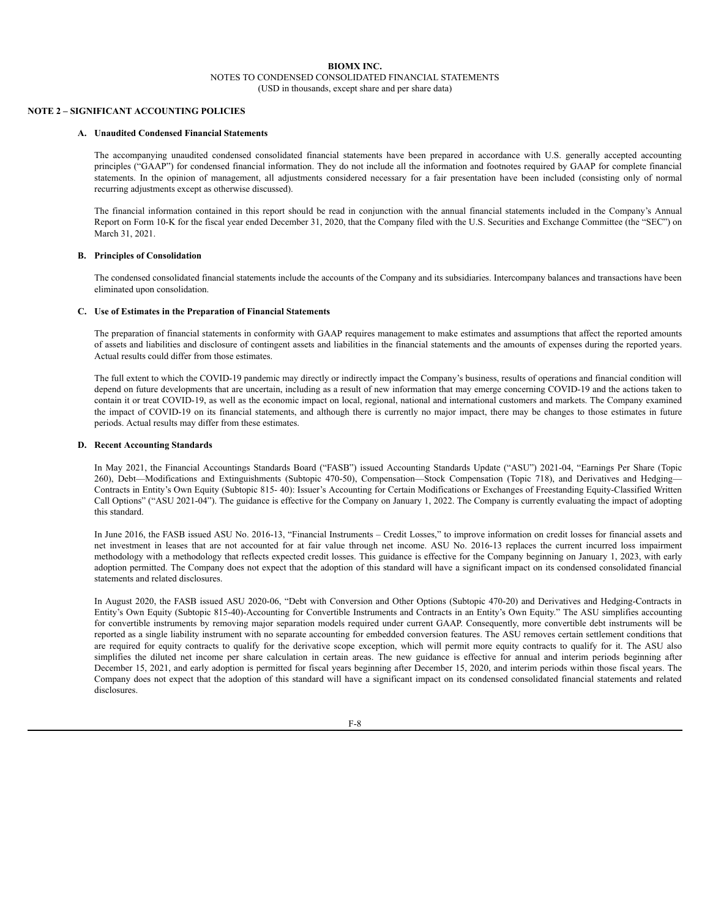### **NOTE 2 – SIGNIFICANT ACCOUNTING POLICIES**

### **A. Unaudited Condensed Financial Statements**

The accompanying unaudited condensed consolidated financial statements have been prepared in accordance with U.S. generally accepted accounting principles ("GAAP") for condensed financial information. They do not include all the information and footnotes required by GAAP for complete financial statements. In the opinion of management, all adjustments considered necessary for a fair presentation have been included (consisting only of normal recurring adjustments except as otherwise discussed).

The financial information contained in this report should be read in conjunction with the annual financial statements included in the Company's Annual Report on Form 10-K for the fiscal year ended December 31, 2020, that the Company filed with the U.S. Securities and Exchange Committee (the "SEC") on March 31, 2021.

## **B. Principles of Consolidation**

The condensed consolidated financial statements include the accounts of the Company and its subsidiaries. Intercompany balances and transactions have been eliminated upon consolidation.

### **C. Use of Estimates in the Preparation of Financial Statements**

The preparation of financial statements in conformity with GAAP requires management to make estimates and assumptions that affect the reported amounts of assets and liabilities and disclosure of contingent assets and liabilities in the financial statements and the amounts of expenses during the reported years. Actual results could differ from those estimates.

The full extent to which the COVID-19 pandemic may directly or indirectly impact the Company's business, results of operations and financial condition will depend on future developments that are uncertain, including as a result of new information that may emerge concerning COVID-19 and the actions taken to contain it or treat COVID-19, as well as the economic impact on local, regional, national and international customers and markets. The Company examined the impact of COVID-19 on its financial statements, and although there is currently no major impact, there may be changes to those estimates in future periods. Actual results may differ from these estimates.

### **D. Recent Accounting Standards**

In May 2021, the Financial Accountings Standards Board ("FASB") issued Accounting Standards Update ("ASU") 2021-04, "Earnings Per Share (Topic 260), Debt—Modifications and Extinguishments (Subtopic 470-50), Compensation—Stock Compensation (Topic 718), and Derivatives and Hedging— Contracts in Entity's Own Equity (Subtopic 815- 40): Issuer's Accounting for Certain Modifications or Exchanges of Freestanding Equity-Classified Written Call Options" ("ASU 2021-04"). The guidance is effective for the Company on January 1, 2022. The Company is currently evaluating the impact of adopting this standard.

In June 2016, the FASB issued ASU No. 2016-13, "Financial Instruments – Credit Losses," to improve information on credit losses for financial assets and net investment in leases that are not accounted for at fair value through net income. ASU No. 2016-13 replaces the current incurred loss impairment methodology with a methodology that reflects expected credit losses. This guidance is effective for the Company beginning on January 1, 2023, with early adoption permitted. The Company does not expect that the adoption of this standard will have a significant impact on its condensed consolidated financial statements and related disclosures.

In August 2020, the FASB issued ASU 2020-06, "Debt with Conversion and Other Options (Subtopic 470-20) and Derivatives and Hedging-Contracts in Entity's Own Equity (Subtopic 815-40)-Accounting for Convertible Instruments and Contracts in an Entity's Own Equity." The ASU simplifies accounting for convertible instruments by removing major separation models required under current GAAP. Consequently, more convertible debt instruments will be reported as a single liability instrument with no separate accounting for embedded conversion features. The ASU removes certain settlement conditions that are required for equity contracts to qualify for the derivative scope exception, which will permit more equity contracts to qualify for it. The ASU also simplifies the diluted net income per share calculation in certain areas. The new guidance is effective for annual and interim periods beginning after December 15, 2021, and early adoption is permitted for fiscal years beginning after December 15, 2020, and interim periods within those fiscal years. The Company does not expect that the adoption of this standard will have a significant impact on its condensed consolidated financial statements and related disclosures.

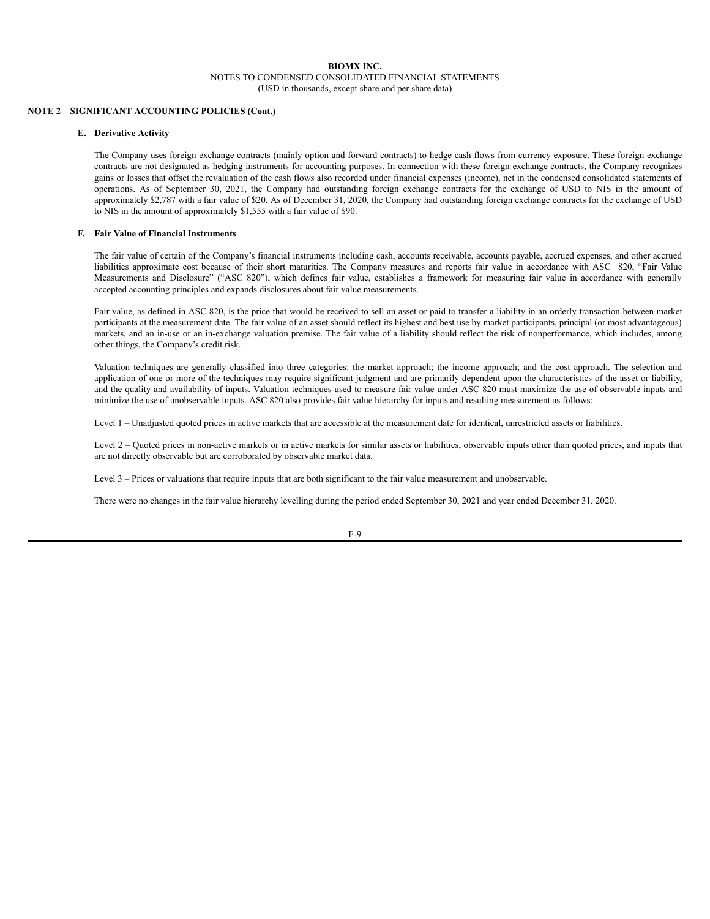### **NOTE 2 – SIGNIFICANT ACCOUNTING POLICIES (Cont.)**

#### **E. Derivative Activity**

The Company uses foreign exchange contracts (mainly option and forward contracts) to hedge cash flows from currency exposure. These foreign exchange contracts are not designated as hedging instruments for accounting purposes. In connection with these foreign exchange contracts, the Company recognizes gains or losses that offset the revaluation of the cash flows also recorded under financial expenses (income), net in the condensed consolidated statements of operations. As of September 30, 2021, the Company had outstanding foreign exchange contracts for the exchange of USD to NIS in the amount of approximately \$2,787 with a fair value of \$20. As of December 31, 2020, the Company had outstanding foreign exchange contracts for the exchange of USD to NIS in the amount of approximately \$1,555 with a fair value of \$90.

### **F. Fair Value of Financial Instruments**

The fair value of certain of the Company's financial instruments including cash, accounts receivable, accounts payable, accrued expenses, and other accrued liabilities approximate cost because of their short maturities. The Company measures and reports fair value in accordance with ASC 820, "Fair Value Measurements and Disclosure" ("ASC 820"), which defines fair value, establishes a framework for measuring fair value in accordance with generally accepted accounting principles and expands disclosures about fair value measurements.

Fair value, as defined in ASC 820, is the price that would be received to sell an asset or paid to transfer a liability in an orderly transaction between market participants at the measurement date. The fair value of an asset should reflect its highest and best use by market participants, principal (or most advantageous) markets, and an in-use or an in-exchange valuation premise. The fair value of a liability should reflect the risk of nonperformance, which includes, among other things, the Company's credit risk.

Valuation techniques are generally classified into three categories: the market approach; the income approach; and the cost approach. The selection and application of one or more of the techniques may require significant judgment and are primarily dependent upon the characteristics of the asset or liability, and the quality and availability of inputs. Valuation techniques used to measure fair value under ASC 820 must maximize the use of observable inputs and minimize the use of unobservable inputs. ASC 820 also provides fair value hierarchy for inputs and resulting measurement as follows:

Level 1 – Unadjusted quoted prices in active markets that are accessible at the measurement date for identical, unrestricted assets or liabilities.

Level 2 – Quoted prices in non-active markets or in active markets for similar assets or liabilities, observable inputs other than quoted prices, and inputs that are not directly observable but are corroborated by observable market data.

Level 3 – Prices or valuations that require inputs that are both significant to the fair value measurement and unobservable.

There were no changes in the fair value hierarchy levelling during the period ended September 30, 2021 and year ended December 31, 2020.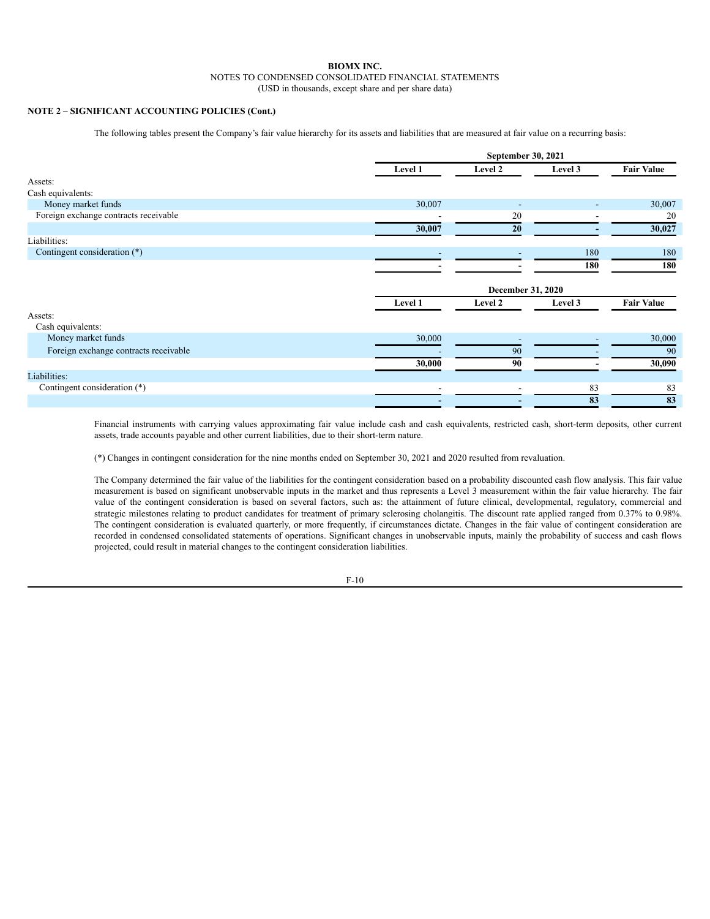# **NOTE 2 – SIGNIFICANT ACCOUNTING POLICIES (Cont.)**

## The following tables present the Company's fair value hierarchy for its assets and liabilities that are measured at fair value on a recurring basis:

|                                       |         | September 30, 2021 |         |                   |
|---------------------------------------|---------|--------------------|---------|-------------------|
|                                       | Level 1 | Level 2            | Level 3 | <b>Fair Value</b> |
| Assets:                               |         |                    |         |                   |
| Cash equivalents:                     |         |                    |         |                   |
| Money market funds                    | 30,007  | $\sim$             | ٠       | 30,007            |
| Foreign exchange contracts receivable |         | 20                 |         | 20                |
|                                       | 30,007  | 20                 |         | 30,027            |
| Liabilities:                          |         |                    |         |                   |
| Contingent consideration (*)          |         |                    | 180     | 180               |
|                                       |         |                    | 180     | 180               |
|                                       |         | December 31, 2020  |         |                   |
|                                       | Level 1 | Level 2            | Level 3 | <b>Fair Value</b> |
| Assets:                               |         |                    |         |                   |
| Cash equivalents:                     |         |                    |         |                   |
| Money market funds                    | 30,000  |                    |         | 30,000            |
| Foreign exchange contracts receivable |         | 90                 |         | 90                |
|                                       | 30,000  | 90                 |         | 30,090            |
| Liabilities:                          |         |                    |         |                   |
| Contingent consideration (*)          |         |                    | 83      | 83                |
|                                       |         |                    | 83      | 83                |

Financial instruments with carrying values approximating fair value include cash and cash equivalents, restricted cash, short-term deposits, other current assets, trade accounts payable and other current liabilities, due to their short-term nature.

(\*) Changes in contingent consideration for the nine months ended on September 30, 2021 and 2020 resulted from revaluation.

The Company determined the fair value of the liabilities for the contingent consideration based on a probability discounted cash flow analysis. This fair value measurement is based on significant unobservable inputs in the market and thus represents a Level 3 measurement within the fair value hierarchy. The fair value of the contingent consideration is based on several factors, such as: the attainment of future clinical, developmental, regulatory, commercial and strategic milestones relating to product candidates for treatment of primary sclerosing cholangitis. The discount rate applied ranged from 0.37% to 0.98%. The contingent consideration is evaluated quarterly, or more frequently, if circumstances dictate. Changes in the fair value of contingent consideration are recorded in condensed consolidated statements of operations. Significant changes in unobservable inputs, mainly the probability of success and cash flows projected, could result in material changes to the contingent consideration liabilities.

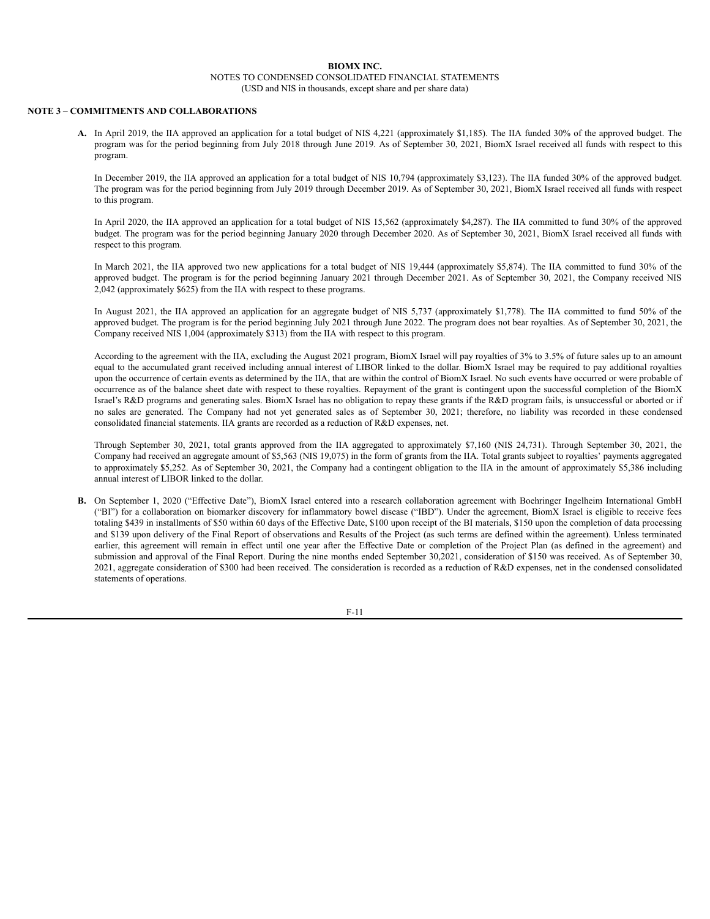### **BIOMX INC.**

NOTES TO CONDENSED CONSOLIDATED FINANCIAL STATEMENTS (USD and NIS in thousands, except share and per share data)

## **NOTE 3 – COMMITMENTS AND COLLABORATIONS**

**A.** In April 2019, the IIA approved an application for a total budget of NIS 4,221 (approximately \$1,185). The IIA funded 30% of the approved budget. The program was for the period beginning from July 2018 through June 2019. As of September 30, 2021, BiomX Israel received all funds with respect to this program.

In December 2019, the IIA approved an application for a total budget of NIS 10,794 (approximately \$3,123). The IIA funded 30% of the approved budget. The program was for the period beginning from July 2019 through December 2019. As of September 30, 2021, BiomX Israel received all funds with respect to this program.

In April 2020, the IIA approved an application for a total budget of NIS 15,562 (approximately \$4,287). The IIA committed to fund 30% of the approved budget. The program was for the period beginning January 2020 through December 2020. As of September 30, 2021, BiomX Israel received all funds with respect to this program.

In March 2021, the IIA approved two new applications for a total budget of NIS 19,444 (approximately \$5,874). The IIA committed to fund 30% of the approved budget. The program is for the period beginning January 2021 through December 2021. As of September 30, 2021, the Company received NIS 2,042 (approximately \$625) from the IIA with respect to these programs.

In August 2021, the IIA approved an application for an aggregate budget of NIS 5,737 (approximately \$1,778). The IIA committed to fund 50% of the approved budget. The program is for the period beginning July 2021 through June 2022. The program does not bear royalties. As of September 30, 2021, the Company received NIS 1,004 (approximately \$313) from the IIA with respect to this program.

According to the agreement with the IIA, excluding the August 2021 program, BiomX Israel will pay royalties of 3% to 3.5% of future sales up to an amount equal to the accumulated grant received including annual interest of LIBOR linked to the dollar. BiomX Israel may be required to pay additional royalties upon the occurrence of certain events as determined by the IIA, that are within the control of BiomX Israel. No such events have occurred or were probable of occurrence as of the balance sheet date with respect to these royalties. Repayment of the grant is contingent upon the successful completion of the BiomX Israel's R&D programs and generating sales. BiomX Israel has no obligation to repay these grants if the R&D program fails, is unsuccessful or aborted or if no sales are generated. The Company had not yet generated sales as of September 30, 2021; therefore, no liability was recorded in these condensed consolidated financial statements. IIA grants are recorded as a reduction of R&D expenses, net.

Through September 30, 2021, total grants approved from the IIA aggregated to approximately \$7,160 (NIS 24,731). Through September 30, 2021, the Company had received an aggregate amount of \$5,563 (NIS 19,075) in the form of grants from the IIA. Total grants subject to royalties' payments aggregated to approximately \$5,252. As of September 30, 2021, the Company had a contingent obligation to the IIA in the amount of approximately \$5,386 including annual interest of LIBOR linked to the dollar.

**B.** On September 1, 2020 ("Effective Date"), BiomX Israel entered into a research collaboration agreement with Boehringer Ingelheim International GmbH ("BI") for a collaboration on biomarker discovery for inflammatory bowel disease ("IBD"). Under the agreement, BiomX Israel is eligible to receive fees totaling \$439 in installments of \$50 within 60 days of the Effective Date, \$100 upon receipt of the BI materials, \$150 upon the completion of data processing and \$139 upon delivery of the Final Report of observations and Results of the Project (as such terms are defined within the agreement). Unless terminated earlier, this agreement will remain in effect until one year after the Effective Date or completion of the Project Plan (as defined in the agreement) and submission and approval of the Final Report. During the nine months ended September 30,2021, consideration of \$150 was received. As of September 30, 2021, aggregate consideration of \$300 had been received. The consideration is recorded as a reduction of R&D expenses, net in the condensed consolidated statements of operations.

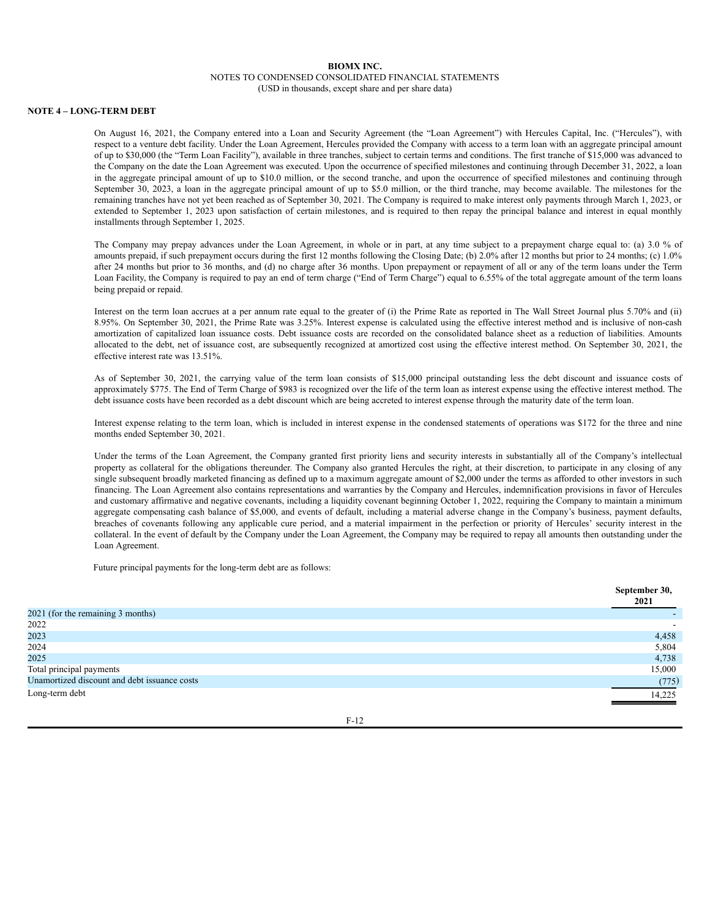### **NOTE 4 – LONG-TERM DEBT**

On August 16, 2021, the Company entered into a Loan and Security Agreement (the "Loan Agreement") with Hercules Capital, Inc. ("Hercules"), with respect to a venture debt facility. Under the Loan Agreement, Hercules provided the Company with access to a term loan with an aggregate principal amount of up to \$30,000 (the "Term Loan Facility"), available in three tranches, subject to certain terms and conditions. The first tranche of \$15,000 was advanced to the Company on the date the Loan Agreement was executed. Upon the occurrence of specified milestones and continuing through December 31, 2022, a loan in the aggregate principal amount of up to \$10.0 million, or the second tranche, and upon the occurrence of specified milestones and continuing through September 30, 2023, a loan in the aggregate principal amount of up to \$5.0 million, or the third tranche, may become available. The milestones for the remaining tranches have not yet been reached as of September 30, 2021. The Company is required to make interest only payments through March 1, 2023, or extended to September 1, 2023 upon satisfaction of certain milestones, and is required to then repay the principal balance and interest in equal monthly installments through September 1, 2025.

The Company may prepay advances under the Loan Agreement, in whole or in part, at any time subject to a prepayment charge equal to: (a) 3.0 % of amounts prepaid, if such prepayment occurs during the first 12 months following the Closing Date; (b) 2.0% after 12 months but prior to 24 months; (c) 1.0% after 24 months but prior to 36 months, and (d) no charge after 36 months. Upon prepayment or repayment of all or any of the term loans under the Term Loan Facility, the Company is required to pay an end of term charge ("End of Term Charge") equal to 6.55% of the total aggregate amount of the term loans being prepaid or repaid.

Interest on the term loan accrues at a per annum rate equal to the greater of (i) the Prime Rate as reported in The Wall Street Journal plus 5.70% and (ii) 8.95%. On September 30, 2021, the Prime Rate was 3.25%. Interest expense is calculated using the effective interest method and is inclusive of non-cash amortization of capitalized loan issuance costs. Debt issuance costs are recorded on the consolidated balance sheet as a reduction of liabilities. Amounts allocated to the debt, net of issuance cost, are subsequently recognized at amortized cost using the effective interest method. On September 30, 2021, the effective interest rate was 13.51%.

As of September 30, 2021, the carrying value of the term loan consists of \$15,000 principal outstanding less the debt discount and issuance costs of approximately \$775. The End of Term Charge of \$983 is recognized over the life of the term loan as interest expense using the effective interest method. The debt issuance costs have been recorded as a debt discount which are being accreted to interest expense through the maturity date of the term loan.

Interest expense relating to the term loan, which is included in interest expense in the condensed statements of operations was \$172 for the three and nine months ended September 30, 2021.

Under the terms of the Loan Agreement, the Company granted first priority liens and security interests in substantially all of the Company's intellectual property as collateral for the obligations thereunder. The Company also granted Hercules the right, at their discretion, to participate in any closing of any single subsequent broadly marketed financing as defined up to a maximum aggregate amount of \$2,000 under the terms as afforded to other investors in such financing. The Loan Agreement also contains representations and warranties by the Company and Hercules, indemnification provisions in favor of Hercules and customary affirmative and negative covenants, including a liquidity covenant beginning October 1, 2022, requiring the Company to maintain a minimum aggregate compensating cash balance of \$5,000, and events of default, including a material adverse change in the Company's business, payment defaults, breaches of covenants following any applicable cure period, and a material impairment in the perfection or priority of Hercules' security interest in the collateral. In the event of default by the Company under the Loan Agreement, the Company may be required to repay all amounts then outstanding under the Loan Agreement.

Future principal payments for the long-term debt are as follows:

|                                              | September 30,<br>2021 |
|----------------------------------------------|-----------------------|
| 2021 (for the remaining 3 months)            |                       |
| 2022                                         |                       |
| 2023                                         | 4,458                 |
| 2024                                         | 5,804                 |
| 2025                                         | 4,738                 |
| Total principal payments                     | 15,000                |
| Unamortized discount and debt issuance costs | (775)                 |
| Long-term debt                               | 14.225                |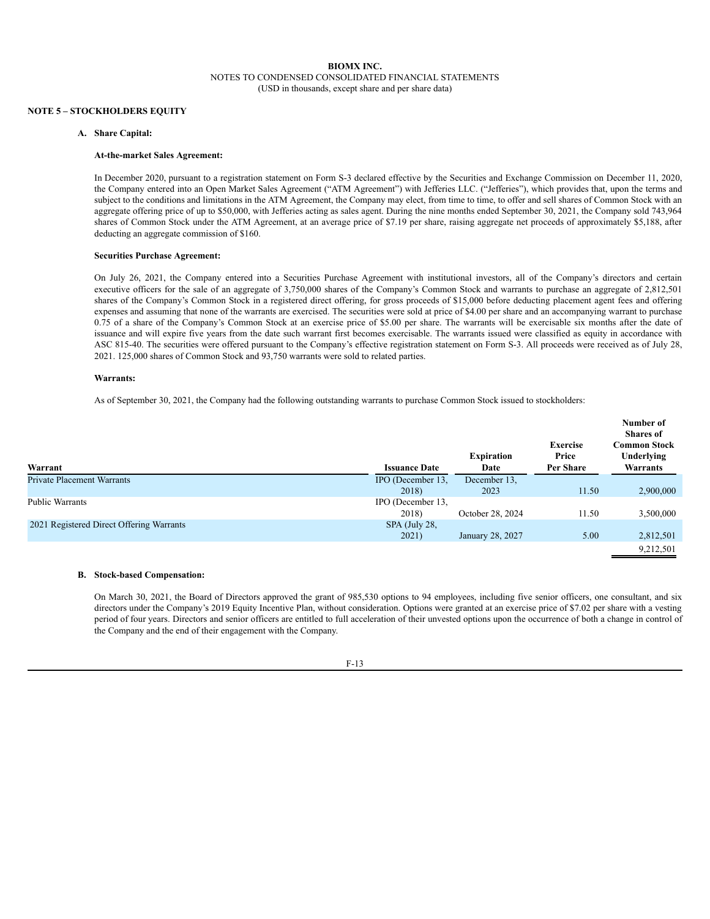### **NOTE 5 – STOCKHOLDERS EQUITY**

### **A. Share Capital:**

#### **At-the-market Sales Agreement:**

In December 2020, pursuant to a registration statement on Form S-3 declared effective by the Securities and Exchange Commission on December 11, 2020, the Company entered into an Open Market Sales Agreement ("ATM Agreement") with Jefferies LLC. ("Jefferies"), which provides that, upon the terms and subject to the conditions and limitations in the ATM Agreement, the Company may elect, from time to time, to offer and sell shares of Common Stock with an aggregate offering price of up to \$50,000, with Jefferies acting as sales agent. During the nine months ended September 30, 2021, the Company sold 743,964 shares of Common Stock under the ATM Agreement, at an average price of \$7.19 per share, raising aggregate net proceeds of approximately \$5,188, after deducting an aggregate commission of \$160.

### **Securities Purchase Agreement:**

On July 26, 2021, the Company entered into a Securities Purchase Agreement with institutional investors, all of the Company's directors and certain executive officers for the sale of an aggregate of 3,750,000 shares of the Company's Common Stock and warrants to purchase an aggregate of 2,812,501 shares of the Company's Common Stock in a registered direct offering, for gross proceeds of \$15,000 before deducting placement agent fees and offering expenses and assuming that none of the warrants are exercised. The securities were sold at price of \$4.00 per share and an accompanying warrant to purchase 0.75 of a share of the Company's Common Stock at an exercise price of \$5.00 per share. The warrants will be exercisable six months after the date of issuance and will expire five years from the date such warrant first becomes exercisable. The warrants issued were classified as equity in accordance with ASC 815-40. The securities were offered pursuant to the Company's effective registration statement on Form S-3. All proceeds were received as of July 28, 2021. 125,000 shares of Common Stock and 93,750 warrants were sold to related parties.

### **Warrants:**

As of September 30, 2021, the Company had the following outstanding warrants to purchase Common Stock issued to stockholders:

| Warrant                                  | <b>Issuance Date</b> | <b>Expiration</b><br>Date | <b>Exercise</b><br>Price<br>Per Share | Number of<br><b>Shares of</b><br><b>Common Stock</b><br>Underlying<br>Warrants |
|------------------------------------------|----------------------|---------------------------|---------------------------------------|--------------------------------------------------------------------------------|
| <b>Private Placement Warrants</b>        | IPO (December 13,    | December 13.              |                                       |                                                                                |
|                                          | 2018)                | 2023                      | 11.50                                 | 2,900,000                                                                      |
| Public Warrants                          | IPO (December 13,    |                           |                                       |                                                                                |
|                                          | 2018)                | October 28, 2024          | 11.50                                 | 3,500,000                                                                      |
| 2021 Registered Direct Offering Warrants | SPA (July 28,        |                           |                                       |                                                                                |
|                                          | 2021)                | January 28, 2027          | 5.00                                  | 2,812,501                                                                      |
|                                          |                      |                           |                                       | 9,212,501                                                                      |

#### **B. Stock-based Compensation:**

On March 30, 2021, the Board of Directors approved the grant of 985,530 options to 94 employees, including five senior officers, one consultant, and six directors under the Company's 2019 Equity Incentive Plan, without consideration. Options were granted at an exercise price of \$7.02 per share with a vesting period of four years. Directors and senior officers are entitled to full acceleration of their unvested options upon the occurrence of both a change in control of the Company and the end of their engagement with the Company.

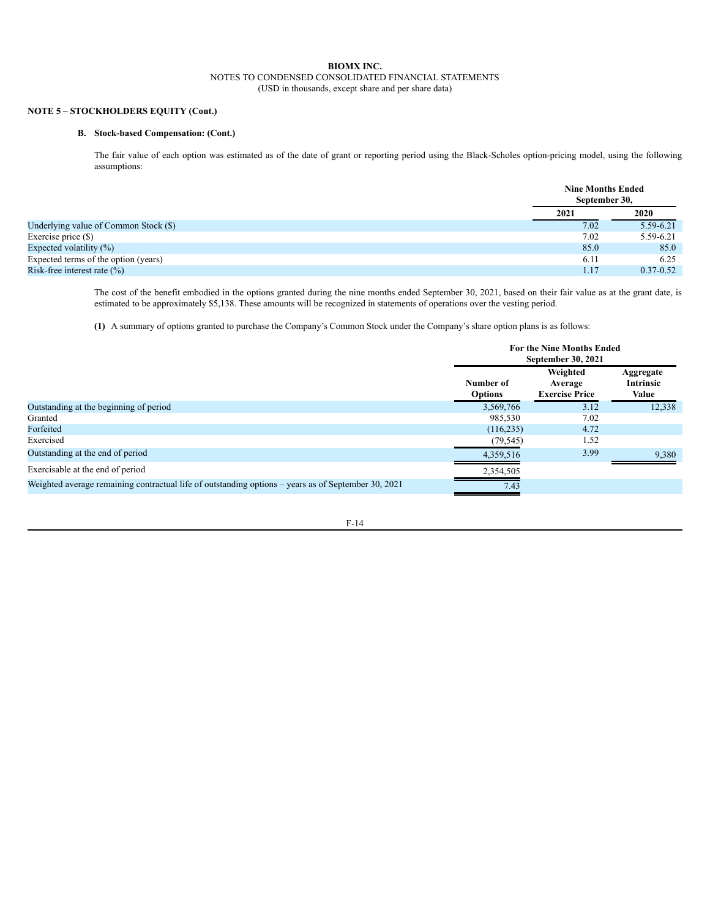# **NOTE 5 – STOCKHOLDERS EQUITY (Cont.)**

# **B. Stock-based Compensation: (Cont.)**

The fair value of each option was estimated as of the date of grant or reporting period using the Black-Scholes option-pricing model, using the following assumptions:

|                                       |      | <b>Nine Months Ended</b><br>September 30, |  |
|---------------------------------------|------|-------------------------------------------|--|
|                                       | 2021 | 2020                                      |  |
| Underlying value of Common Stock (\$) | 7.02 | 5.59-6.21                                 |  |
| Exercise price $(\$)$                 | 7.02 | 5.59-6.21                                 |  |
| Expected volatility $(\%)$            | 85.0 | 85.0                                      |  |
| Expected terms of the option (years)  | 6.11 | 6.25                                      |  |
| Risk-free interest rate $(\% )$       | 1.17 | $0.37 - 0.52$                             |  |

The cost of the benefit embodied in the options granted during the nine months ended September 30, 2021, based on their fair value as at the grant date, is estimated to be approximately \$5,138. These amounts will be recognized in statements of operations over the vesting period.

**(1)** A summary of options granted to purchase the Company's Common Stock under the Company's share option plans is as follows:

|                                                                                                     | <b>For the Nine Months Ended</b><br><b>September 30, 2021</b> |                                              |                                        |
|-----------------------------------------------------------------------------------------------------|---------------------------------------------------------------|----------------------------------------------|----------------------------------------|
|                                                                                                     | Number of<br><b>Options</b>                                   | Weighted<br>Average<br><b>Exercise Price</b> | Aggregate<br><b>Intrinsic</b><br>Value |
| Outstanding at the beginning of period                                                              | 3,569,766                                                     | 3.12                                         | 12,338                                 |
| Granted                                                                                             | 985,530                                                       | 7.02                                         |                                        |
| Forfeited                                                                                           | (116, 235)                                                    | 4.72                                         |                                        |
| Exercised                                                                                           | (79, 545)                                                     | 1.52                                         |                                        |
| Outstanding at the end of period                                                                    | 4,359,516                                                     | 3.99                                         | 9,380                                  |
| Exercisable at the end of period                                                                    | 2,354,505                                                     |                                              |                                        |
| Weighted average remaining contractual life of outstanding options - years as of September 30, 2021 | 7.43                                                          |                                              |                                        |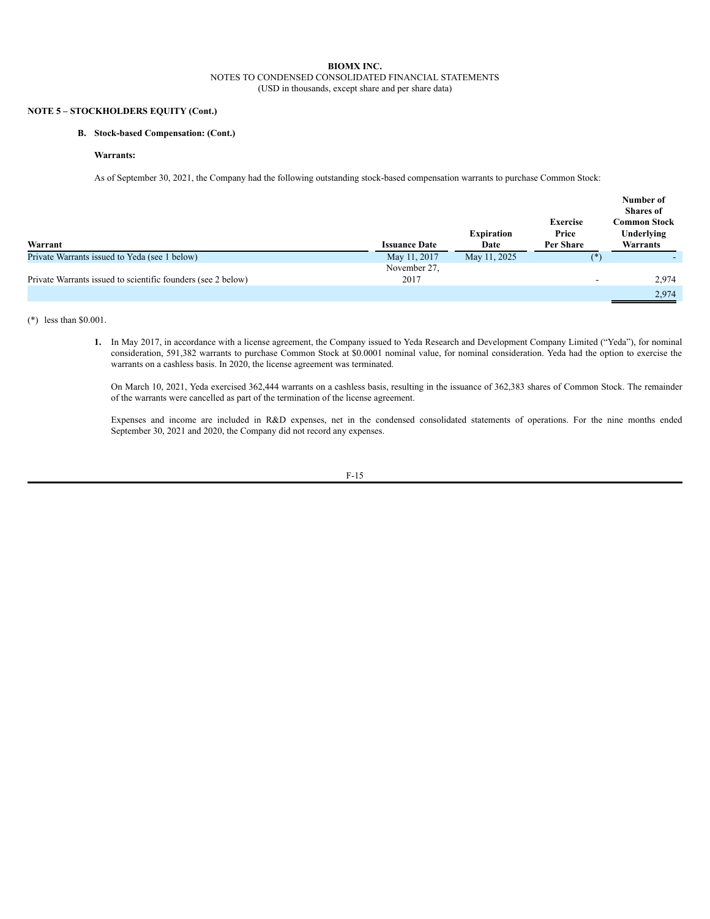### **NOTE 5 – STOCKHOLDERS EQUITY (Cont.)**

# **B. Stock-based Compensation: (Cont.)**

### **Warrants:**

As of September 30, 2021, the Company had the following outstanding stock-based compensation warrants to purchase Common Stock:

| Warrant                                                      | <b>Issuance Date</b> | <b>Expiration</b><br>Date | <b>Exercise</b><br>Price<br>Per Share | Number of<br><b>Shares of</b><br>Common Stock<br>Underlying<br>Warrants |
|--------------------------------------------------------------|----------------------|---------------------------|---------------------------------------|-------------------------------------------------------------------------|
| Private Warrants issued to Yeda (see 1 below)                | May 11, 2017         | May 11, 2025              | $(*)$                                 |                                                                         |
|                                                              | November 27.         |                           |                                       |                                                                         |
| Private Warrants issued to scientific founders (see 2 below) | 2017                 |                           |                                       | 2,974                                                                   |
|                                                              |                      |                           |                                       | 2,974                                                                   |

(\*) less than \$0.001.

**1.** In May 2017, in accordance with a license agreement, the Company issued to Yeda Research and Development Company Limited ("Yeda"), for nominal consideration, 591,382 warrants to purchase Common Stock at \$0.0001 nominal value, for nominal consideration. Yeda had the option to exercise the warrants on a cashless basis. In 2020, the license agreement was terminated.

On March 10, 2021, Yeda exercised 362,444 warrants on a cashless basis, resulting in the issuance of 362,383 shares of Common Stock. The remainder of the warrants were cancelled as part of the termination of the license agreement.

Expenses and income are included in R&D expenses, net in the condensed consolidated statements of operations. For the nine months ended September 30, 2021 and 2020, the Company did not record any expenses.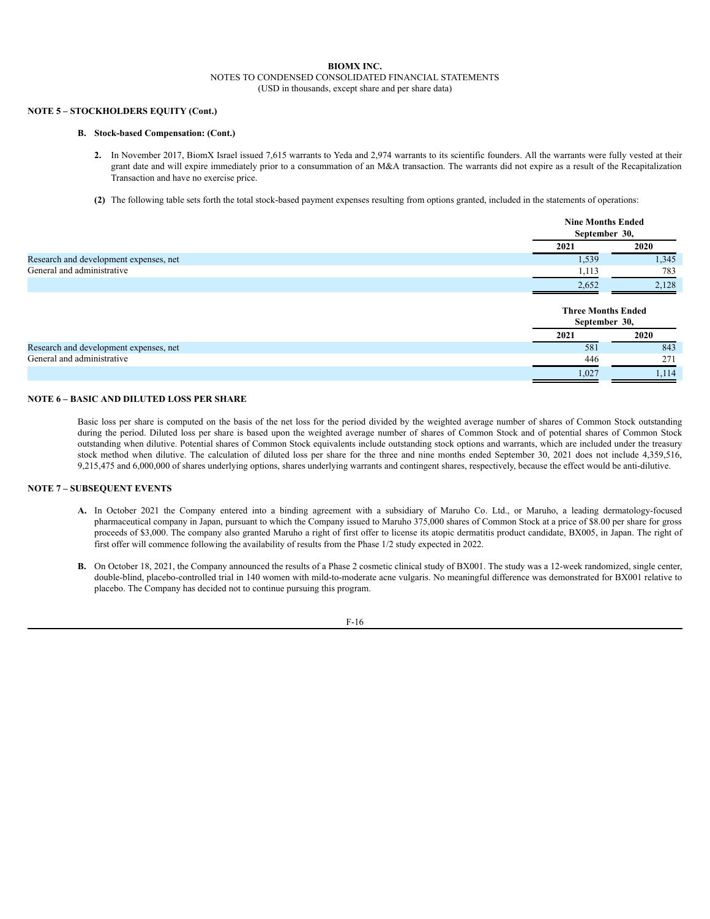### **NOTE 5 – STOCKHOLDERS EQUITY (Cont.)**

### **B. Stock-based Compensation: (Cont.)**

- **2.** In November 2017, BiomX Israel issued 7,615 warrants to Yeda and 2,974 warrants to its scientific founders. All the warrants were fully vested at their grant date and will expire immediately prior to a consummation of an M&A transaction. The warrants did not expire as a result of the Recapitalization Transaction and have no exercise price.
- **(2)** The following table sets forth the total stock-based payment expenses resulting from options granted, included in the statements of operations:

|                                        | <b>Nine Months Ended</b><br>September 30,  |       |
|----------------------------------------|--------------------------------------------|-------|
|                                        | 2021                                       | 2020  |
| Research and development expenses, net | 1,539                                      | 1,345 |
| General and administrative             | 1,113                                      | 783   |
|                                        | 2,652                                      | 2,128 |
|                                        | <b>Three Months Ended</b><br>September 30, |       |
|                                        | 2021                                       | 2020  |
| Research and development expenses, net | 581                                        | 843   |
| General and administrative             | 446                                        | 271   |

### **NOTE 6 – BASIC AND DILUTED LOSS PER SHARE**

Basic loss per share is computed on the basis of the net loss for the period divided by the weighted average number of shares of Common Stock outstanding during the period. Diluted loss per share is based upon the weighted average number of shares of Common Stock and of potential shares of Common Stock outstanding when dilutive. Potential shares of Common Stock equivalents include outstanding stock options and warrants, which are included under the treasury stock method when dilutive. The calculation of diluted loss per share for the three and nine months ended September 30, 2021 does not include 4,359,516, 9,215,475 and 6,000,000 of shares underlying options, shares underlying warrants and contingent shares, respectively, because the effect would be anti-dilutive.

1,027 1,114

### **NOTE 7 – SUBSEQUENT EVENTS**

- **A.** In October 2021 the Company entered into a binding agreement with a subsidiary of Maruho Co. Ltd., or Maruho, a leading dermatology-focused pharmaceutical company in Japan, pursuant to which the Company issued to Maruho 375,000 shares of Common Stock at a price of \$8.00 per share for gross proceeds of \$3,000. The company also granted Maruho a right of first offer to license its atopic dermatitis product candidate, BX005, in Japan. The right of first offer will commence following the availability of results from the Phase 1/2 study expected in 2022.
- **B.** On October 18, 2021, the Company announced the results of a Phase 2 cosmetic clinical study of BX001. The study was a 12-week randomized, single center, double-blind, placebo-controlled trial in 140 women with mild-to-moderate acne vulgaris. No meaningful difference was demonstrated for BX001 relative to placebo. The Company has decided not to continue pursuing this program.

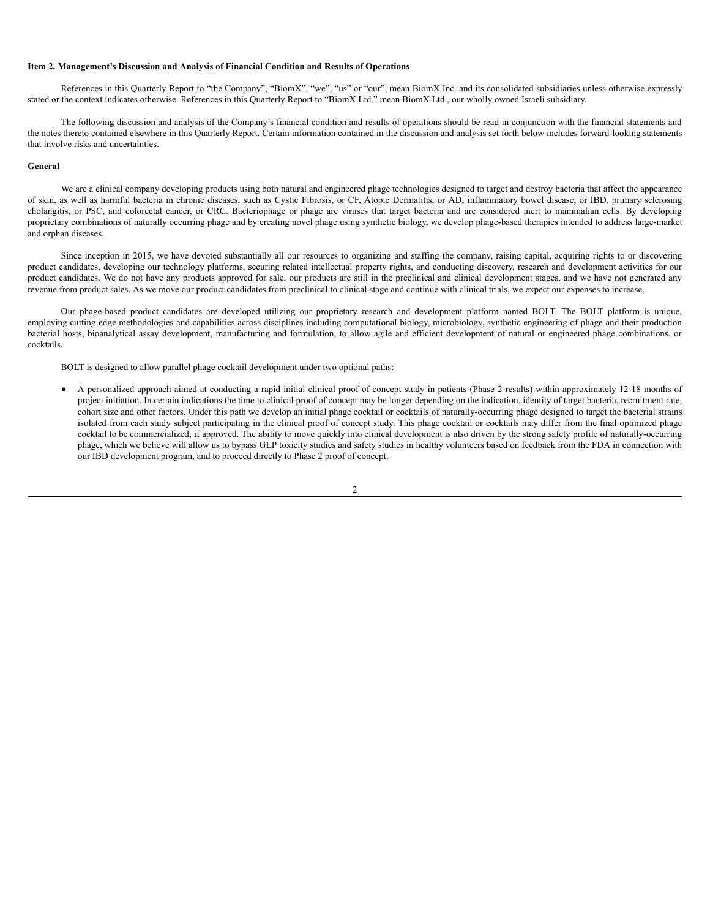#### <span id="page-21-0"></span>**Item 2. Management's Discussion and Analysis of Financial Condition and Results of Operations**

References in this Quarterly Report to "the Company", "BiomX", "we", "us" or "our", mean BiomX Inc. and its consolidated subsidiaries unless otherwise expressly stated or the context indicates otherwise. References in this Quarterly Report to "BiomX Ltd." mean BiomX Ltd., our wholly owned Israeli subsidiary.

The following discussion and analysis of the Company's financial condition and results of operations should be read in conjunction with the financial statements and the notes thereto contained elsewhere in this Quarterly Report. Certain information contained in the discussion and analysis set forth below includes forward-looking statements that involve risks and uncertainties.

#### **General**

We are a clinical company developing products using both natural and engineered phage technologies designed to target and destroy bacteria that affect the appearance of skin, as well as harmful bacteria in chronic diseases, such as Cystic Fibrosis, or CF, Atopic Dermatitis, or AD, inflammatory bowel disease, or IBD, primary sclerosing cholangitis, or PSC, and colorectal cancer, or CRC. Bacteriophage or phage are viruses that target bacteria and are considered inert to mammalian cells. By developing proprietary combinations of naturally occurring phage and by creating novel phage using synthetic biology, we develop phage-based therapies intended to address large-market and orphan diseases.

Since inception in 2015, we have devoted substantially all our resources to organizing and staffing the company, raising capital, acquiring rights to or discovering product candidates, developing our technology platforms, securing related intellectual property rights, and conducting discovery, research and development activities for our product candidates. We do not have any products approved for sale, our products are still in the preclinical and clinical development stages, and we have not generated any revenue from product sales. As we move our product candidates from preclinical to clinical stage and continue with clinical trials, we expect our expenses to increase.

Our phage-based product candidates are developed utilizing our proprietary research and development platform named BOLT. The BOLT platform is unique, employing cutting edge methodologies and capabilities across disciplines including computational biology, microbiology, synthetic engineering of phage and their production bacterial hosts, bioanalytical assay development, manufacturing and formulation, to allow agile and efficient development of natural or engineered phage combinations, or cocktails.

BOLT is designed to allow parallel phage cocktail development under two optional paths:

● A personalized approach aimed at conducting a rapid initial clinical proof of concept study in patients (Phase 2 results) within approximately 12-18 months of project initiation. In certain indications the time to clinical proof of concept may be longer depending on the indication, identity of target bacteria, recruitment rate, cohort size and other factors. Under this path we develop an initial phage cocktail or cocktails of naturally-occurring phage designed to target the bacterial strains isolated from each study subject participating in the clinical proof of concept study. This phage cocktail or cocktails may differ from the final optimized phage cocktail to be commercialized, if approved. The ability to move quickly into clinical development is also driven by the strong safety profile of naturally-occurring phage, which we believe will allow us to bypass GLP toxicity studies and safety studies in healthy volunteers based on feedback from the FDA in connection with our IBD development program, and to proceed directly to Phase 2 proof of concept.

 $\mathfrak{Z}$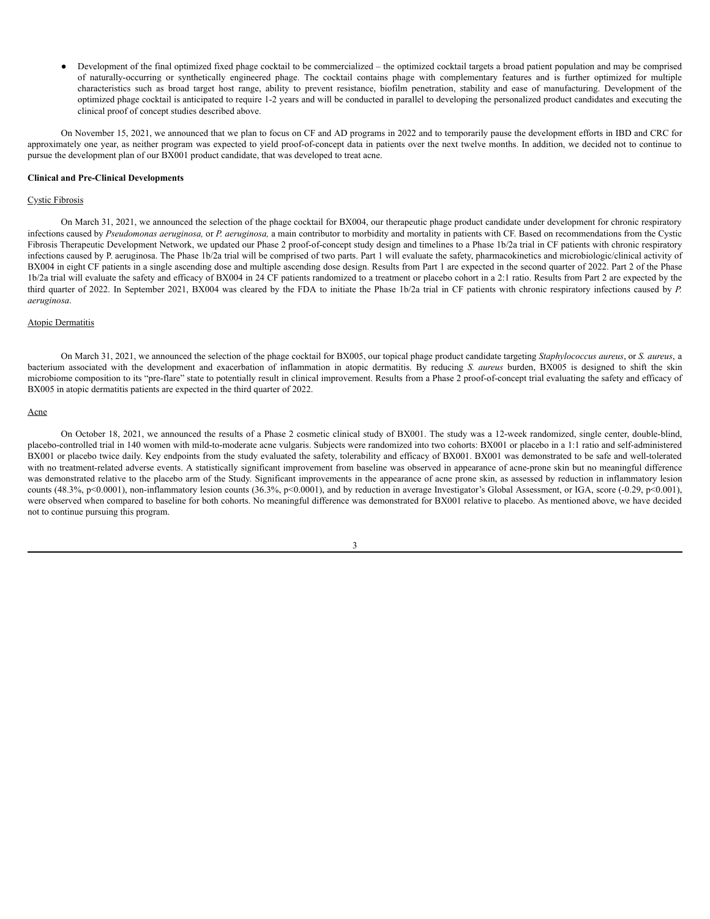Development of the final optimized fixed phage cocktail to be commercialized – the optimized cocktail targets a broad patient population and may be comprised of naturally-occurring or synthetically engineered phage. The cocktail contains phage with complementary features and is further optimized for multiple characteristics such as broad target host range, ability to prevent resistance, biofilm penetration, stability and ease of manufacturing. Development of the optimized phage cocktail is anticipated to require 1-2 years and will be conducted in parallel to developing the personalized product candidates and executing the clinical proof of concept studies described above.

On November 15, 2021, we announced that we plan to focus on CF and AD programs in 2022 and to temporarily pause the development efforts in IBD and CRC for approximately one year, as neither program was expected to yield proof-of-concept data in patients over the next twelve months. In addition, we decided not to continue to pursue the development plan of our BX001 product candidate, that was developed to treat acne.

## **Clinical and Pre-Clinical Developments**

### Cystic Fibrosis

On March 31, 2021, we announced the selection of the phage cocktail for BX004, our therapeutic phage product candidate under development for chronic respiratory infections caused by *Pseudomonas aeruginosa,* or *P. aeruginosa,* a main contributor to morbidity and mortality in patients with CF. Based on recommendations from the Cystic Fibrosis Therapeutic Development Network, we updated our Phase 2 proof-of-concept study design and timelines to a Phase 1b/2a trial in CF patients with chronic respiratory infections caused by P. aeruginosa. The Phase 1b/2a trial will be comprised of two parts. Part 1 will evaluate the safety, pharmacokinetics and microbiologic/clinical activity of BX004 in eight CF patients in a single ascending dose and multiple ascending dose design. Results from Part 1 are expected in the second quarter of 2022. Part 2 of the Phase 1b/2a trial will evaluate the safety and efficacy of BX004 in 24 CF patients randomized to a treatment or placebo cohort in a 2:1 ratio. Results from Part 2 are expected by the third quarter of 2022. In September 2021, BX004 was cleared by the FDA to initiate the Phase 1b/2a trial in CF patients with chronic respiratory infections caused by *P. aeruginosa*.

### Atopic Dermatitis

On March 31, 2021, we announced the selection of the phage cocktail for BX005, our topical phage product candidate targeting *Staphylococcus aureus*, or *S. aureus*, a bacterium associated with the development and exacerbation of inflammation in atopic dermatitis. By reducing *S. aureus* burden, BX005 is designed to shift the skin microbiome composition to its "pre-flare" state to potentially result in clinical improvement. Results from a Phase 2 proof-of-concept trial evaluating the safety and efficacy of BX005 in atopic dermatitis patients are expected in the third quarter of 2022.

#### Acne

On October 18, 2021, we announced the results of a Phase 2 cosmetic clinical study of BX001. The study was a 12-week randomized, single center, double-blind, placebo-controlled trial in 140 women with mild-to-moderate acne vulgaris. Subjects were randomized into two cohorts: BX001 or placebo in a 1:1 ratio and self-administered BX001 or placebo twice daily. Key endpoints from the study evaluated the safety, tolerability and efficacy of BX001. BX001 was demonstrated to be safe and well-tolerated with no treatment-related adverse events. A statistically significant improvement from baseline was observed in appearance of acne-prone skin but no meaningful difference was demonstrated relative to the placebo arm of the Study. Significant improvements in the appearance of acne prone skin, as assessed by reduction in inflammatory lesion counts (48.3%, p<0.0001), non-inflammatory lesion counts (36.3%, p<0.0001), and by reduction in average Investigator's Global Assessment, or IGA, score (-0.29, p<0.001), were observed when compared to baseline for both cohorts. No meaningful difference was demonstrated for BX001 relative to placebo. As mentioned above, we have decided not to continue pursuing this program.

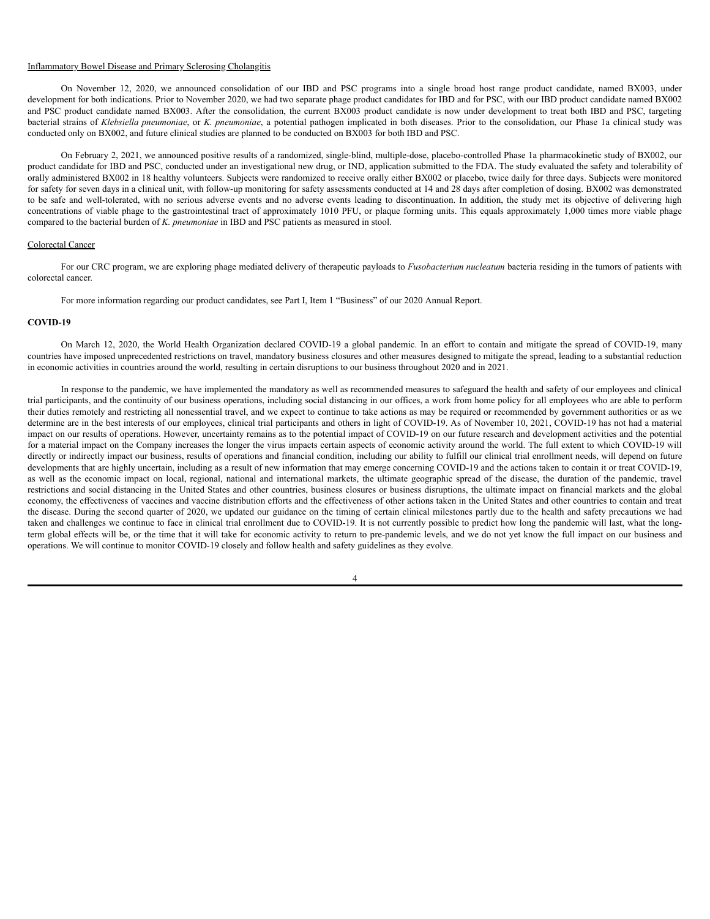#### Inflammatory Bowel Disease and Primary Sclerosing Cholangitis

On November 12, 2020, we announced consolidation of our IBD and PSC programs into a single broad host range product candidate, named BX003, under development for both indications. Prior to November 2020, we had two separate phage product candidates for IBD and for PSC, with our IBD product candidate named BX002 and PSC product candidate named BX003. After the consolidation, the current BX003 product candidate is now under development to treat both IBD and PSC, targeting bacterial strains of *Klebsiella pneumoniae*, or *K. pneumoniae*, a potential pathogen implicated in both diseases. Prior to the consolidation, our Phase 1a clinical study was conducted only on BX002, and future clinical studies are planned to be conducted on BX003 for both IBD and PSC.

On February 2, 2021, we announced positive results of a randomized, single-blind, multiple-dose, placebo-controlled Phase 1a pharmacokinetic study of BX002, our product candidate for IBD and PSC, conducted under an investigational new drug, or IND, application submitted to the FDA. The study evaluated the safety and tolerability of orally administered BX002 in 18 healthy volunteers. Subjects were randomized to receive orally either BX002 or placebo, twice daily for three days. Subjects were monitored for safety for seven days in a clinical unit, with follow-up monitoring for safety assessments conducted at 14 and 28 days after completion of dosing. BX002 was demonstrated to be safe and well-tolerated, with no serious adverse events and no adverse events leading to discontinuation. In addition, the study met its objective of delivering high concentrations of viable phage to the gastrointestinal tract of approximately 1010 PFU, or plaque forming units. This equals approximately 1,000 times more viable phage compared to the bacterial burden of *K. pneumoniae* in IBD and PSC patients as measured in stool.

### Colorectal Cancer

For our CRC program, we are exploring phage mediated delivery of therapeutic payloads to *Fusobacterium nucleatum* bacteria residing in the tumors of patients with colorectal cancer.

For more information regarding our product candidates, see Part I, Item 1 "Business" of our 2020 Annual Report.

#### **COVID-19**

On March 12, 2020, the World Health Organization declared COVID-19 a global pandemic. In an effort to contain and mitigate the spread of COVID-19, many countries have imposed unprecedented restrictions on travel, mandatory business closures and other measures designed to mitigate the spread, leading to a substantial reduction in economic activities in countries around the world, resulting in certain disruptions to our business throughout 2020 and in 2021.

In response to the pandemic, we have implemented the mandatory as well as recommended measures to safeguard the health and safety of our employees and clinical trial participants, and the continuity of our business operations, including social distancing in our offices, a work from home policy for all employees who are able to perform their duties remotely and restricting all nonessential travel, and we expect to continue to take actions as may be required or recommended by government authorities or as we determine are in the best interests of our employees, clinical trial participants and others in light of COVID-19. As of November 10, 2021, COVID-19 has not had a material impact on our results of operations. However, uncertainty remains as to the potential impact of COVID-19 on our future research and development activities and the potential for a material impact on the Company increases the longer the virus impacts certain aspects of economic activity around the world. The full extent to which COVID-19 will directly or indirectly impact our business, results of operations and financial condition, including our ability to fulfill our clinical trial enrollment needs, will depend on future developments that are highly uncertain, including as a result of new information that may emerge concerning COVID-19 and the actions taken to contain it or treat COVID-19, as well as the economic impact on local, regional, national and international markets, the ultimate geographic spread of the disease, the duration of the pandemic, travel restrictions and social distancing in the United States and other countries, business closures or business disruptions, the ultimate impact on financial markets and the global economy, the effectiveness of vaccines and vaccine distribution efforts and the effectiveness of other actions taken in the United States and other countries to contain and treat the disease. During the second quarter of 2020, we updated our guidance on the timing of certain clinical milestones partly due to the health and safety precautions we had taken and challenges we continue to face in clinical trial enrollment due to COVID-19. It is not currently possible to predict how long the pandemic will last, what the longterm global effects will be, or the time that it will take for economic activity to return to pre-pandemic levels, and we do not yet know the full impact on our business and operations. We will continue to monitor COVID-19 closely and follow health and safety guidelines as they evolve.

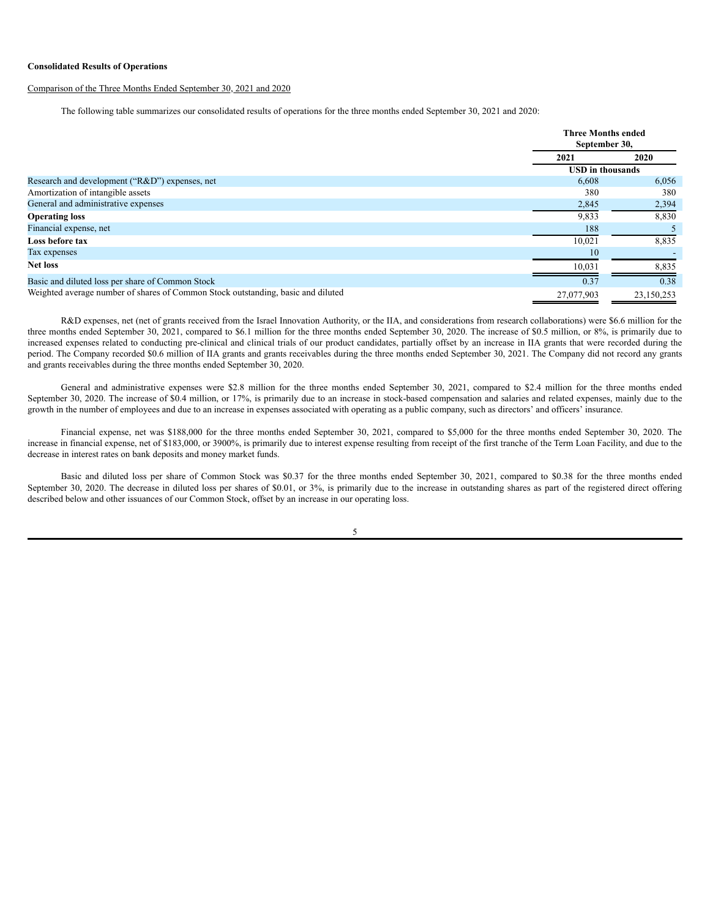### **Consolidated Results of Operations**

### Comparison of the Three Months Ended September 30, 2021 and 2020

The following table summarizes our consolidated results of operations for the three months ended September 30, 2021 and 2020:

|                                                                                  |            | <b>Three Months ended</b><br>September 30, |  |
|----------------------------------------------------------------------------------|------------|--------------------------------------------|--|
|                                                                                  | 2021       | 2020                                       |  |
|                                                                                  |            | <b>USD</b> in thousands                    |  |
| Research and development ("R&D") expenses, net                                   | 6,608      | 6,056                                      |  |
| Amortization of intangible assets                                                | 380        | 380                                        |  |
| General and administrative expenses                                              | 2,845      | 2,394                                      |  |
| <b>Operating loss</b>                                                            | 9,833      | 8,830                                      |  |
| Financial expense, net                                                           | 188        |                                            |  |
| Loss before tax                                                                  | 10.021     | 8,835                                      |  |
| Tax expenses                                                                     | 10         |                                            |  |
| <b>Net loss</b>                                                                  | 10,031     | 8,835                                      |  |
| Basic and diluted loss per share of Common Stock                                 | 0.37       | 0.38                                       |  |
| Weighted average number of shares of Common Stock outstanding, basic and diluted | 27,077,903 | 23,150,253                                 |  |

R&D expenses, net (net of grants received from the Israel Innovation Authority, or the IIA, and considerations from research collaborations) were \$6.6 million for the three months ended September 30, 2021, compared to \$6.1 million for the three months ended September 30, 2020. The increase of \$0.5 million, or 8%, is primarily due to increased expenses related to conducting pre-clinical and clinical trials of our product candidates, partially offset by an increase in IIA grants that were recorded during the period. The Company recorded \$0.6 million of IIA grants and grants receivables during the three months ended September 30, 2021. The Company did not record any grants and grants receivables during the three months ended September 30, 2020.

General and administrative expenses were \$2.8 million for the three months ended September 30, 2021, compared to \$2.4 million for the three months ended September 30, 2020. The increase of \$0.4 million, or 17%, is primarily due to an increase in stock-based compensation and salaries and related expenses, mainly due to the growth in the number of employees and due to an increase in expenses associated with operating as a public company, such as directors' and officers' insurance.

Financial expense, net was \$188,000 for the three months ended September 30, 2021, compared to \$5,000 for the three months ended September 30, 2020. The increase in financial expense, net of \$183,000, or 3900%, is primarily due to interest expense resulting from receipt of the first tranche of the Term Loan Facility, and due to the decrease in interest rates on bank deposits and money market funds.

Basic and diluted loss per share of Common Stock was \$0.37 for the three months ended September 30, 2021, compared to \$0.38 for the three months ended September 30, 2020. The decrease in diluted loss per shares of \$0.01, or 3%, is primarily due to the increase in outstanding shares as part of the registered direct offering described below and other issuances of our Common Stock, offset by an increase in our operating loss.

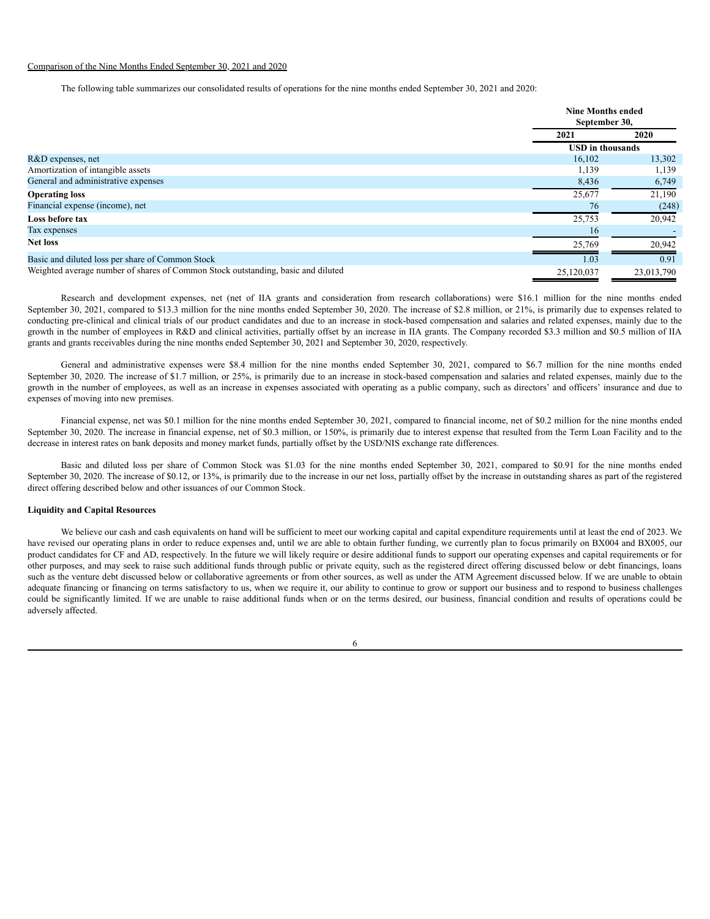#### Comparison of the Nine Months Ended September 30, 2021 and 2020

The following table summarizes our consolidated results of operations for the nine months ended September 30, 2021 and 2020:

|                                                                                  |            | <b>Nine Months ended</b><br>September 30, |  |
|----------------------------------------------------------------------------------|------------|-------------------------------------------|--|
|                                                                                  | 2021       | 2020                                      |  |
|                                                                                  |            | <b>USD</b> in thousands                   |  |
| R&D expenses, net                                                                | 16.102     | 13,302                                    |  |
| Amortization of intangible assets                                                | 1,139      | 1,139                                     |  |
| General and administrative expenses                                              | 8,436      | 6,749                                     |  |
| <b>Operating loss</b>                                                            | 25,677     | 21,190                                    |  |
| Financial expense (income), net                                                  | 76         | (248)                                     |  |
| Loss before tax                                                                  | 25,753     | 20,942                                    |  |
| Tax expenses                                                                     | 16         |                                           |  |
| <b>Net loss</b>                                                                  | 25,769     | 20,942                                    |  |
| Basic and diluted loss per share of Common Stock                                 | 1.03       | 0.91                                      |  |
| Weighted average number of shares of Common Stock outstanding, basic and diluted | 25,120,037 | 23,013,790                                |  |

Research and development expenses, net (net of IIA grants and consideration from research collaborations) were \$16.1 million for the nine months ended September 30, 2021, compared to \$13.3 million for the nine months ended September 30, 2020. The increase of \$2.8 million, or 21%, is primarily due to expenses related to conducting pre-clinical and clinical trials of our product candidates and due to an increase in stock-based compensation and salaries and related expenses, mainly due to the growth in the number of employees in R&D and clinical activities, partially offset by an increase in IIA grants. The Company recorded \$3.3 million and \$0.5 million of IIA grants and grants receivables during the nine months ended September 30, 2021 and September 30, 2020, respectively.

General and administrative expenses were \$8.4 million for the nine months ended September 30, 2021, compared to \$6.7 million for the nine months ended September 30, 2020. The increase of \$1.7 million, or 25%, is primarily due to an increase in stock-based compensation and salaries and related expenses, mainly due to the growth in the number of employees, as well as an increase in expenses associated with operating as a public company, such as directors' and officers' insurance and due to expenses of moving into new premises.

Financial expense, net was \$0.1 million for the nine months ended September 30, 2021, compared to financial income, net of \$0.2 million for the nine months ended September 30, 2020. The increase in financial expense, net of \$0.3 million, or 150%, is primarily due to interest expense that resulted from the Term Loan Facility and to the decrease in interest rates on bank deposits and money market funds, partially offset by the USD/NIS exchange rate differences.

Basic and diluted loss per share of Common Stock was \$1.03 for the nine months ended September 30, 2021, compared to \$0.91 for the nine months ended September 30, 2020. The increase of \$0.12, or 13%, is primarily due to the increase in our net loss, partially offset by the increase in outstanding shares as part of the registered direct offering described below and other issuances of our Common Stock.

### **Liquidity and Capital Resources**

We believe our cash and cash equivalents on hand will be sufficient to meet our working capital and capital expenditure requirements until at least the end of 2023. We have revised our operating plans in order to reduce expenses and, until we are able to obtain further funding, we currently plan to focus primarily on BX004 and BX005, our product candidates for CF and AD, respectively. In the future we will likely require or desire additional funds to support our operating expenses and capital requirements or for other purposes, and may seek to raise such additional funds through public or private equity, such as the registered direct offering discussed below or debt financings, loans such as the venture debt discussed below or collaborative agreements or from other sources, as well as under the ATM Agreement discussed below. If we are unable to obtain adequate financing or financing on terms satisfactory to us, when we require it, our ability to continue to grow or support our business and to respond to business challenges could be significantly limited. If we are unable to raise additional funds when or on the terms desired, our business, financial condition and results of operations could be adversely affected.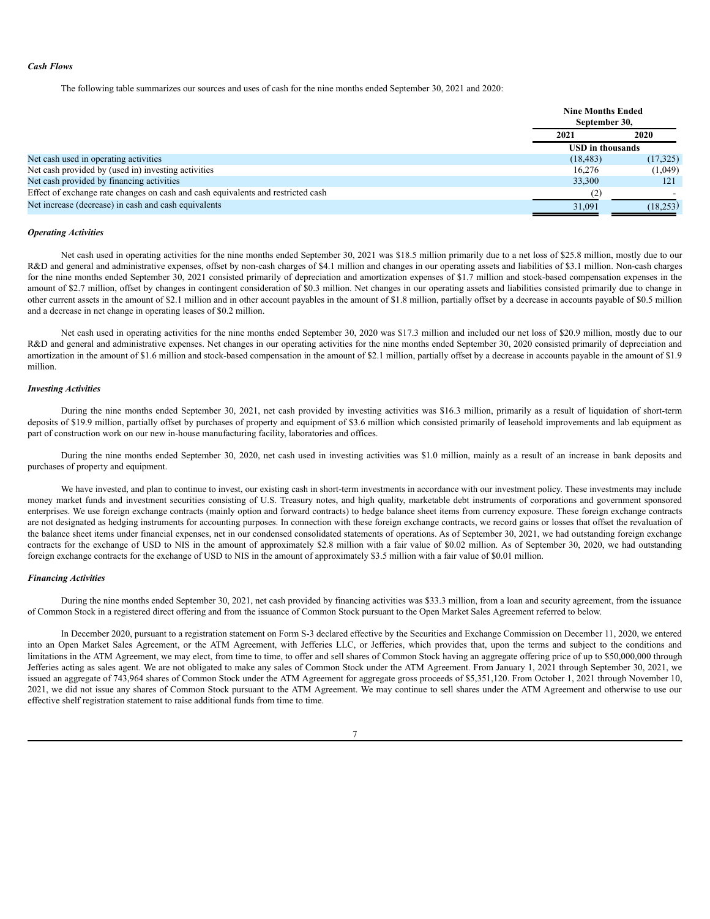### *Cash Flows*

The following table summarizes our sources and uses of cash for the nine months ended September 30, 2021 and 2020:

|                                                                                  |           | <b>Nine Months Ended</b><br>September 30, |  |
|----------------------------------------------------------------------------------|-----------|-------------------------------------------|--|
|                                                                                  | 2021      | 2020                                      |  |
|                                                                                  |           | <b>USD</b> in thousands                   |  |
| Net cash used in operating activities                                            | (18, 483) | (17,325)                                  |  |
| Net cash provided by (used in) investing activities                              | 16.276    | (1,049)                                   |  |
| Net cash provided by financing activities                                        | 33,300    | 121                                       |  |
| Effect of exchange rate changes on cash and cash equivalents and restricted cash |           |                                           |  |
| Net increase (decrease) in cash and cash equivalents                             | 31,091    | (18, 253)                                 |  |

### *Operating Activities*

Net cash used in operating activities for the nine months ended September 30, 2021 was \$18.5 million primarily due to a net loss of \$25.8 million, mostly due to our R&D and general and administrative expenses, offset by non-cash charges of \$4.1 million and changes in our operating assets and liabilities of \$3.1 million. Non-cash charges for the nine months ended September 30, 2021 consisted primarily of depreciation and amortization expenses of \$1.7 million and stock-based compensation expenses in the amount of \$2.7 million, offset by changes in contingent consideration of \$0.3 million. Net changes in our operating assets and liabilities consisted primarily due to change in other current assets in the amount of \$2.1 million and in other account payables in the amount of \$1.8 million, partially offset by a decrease in accounts payable of \$0.5 million and a decrease in net change in operating leases of \$0.2 million.

Net cash used in operating activities for the nine months ended September 30, 2020 was \$17.3 million and included our net loss of \$20.9 million, mostly due to our R&D and general and administrative expenses. Net changes in our operating activities for the nine months ended September 30, 2020 consisted primarily of depreciation and amortization in the amount of \$1.6 million and stock-based compensation in the amount of \$2.1 million, partially offset by a decrease in accounts payable in the amount of \$1.9 million.

### *Investing Activities*

During the nine months ended September 30, 2021, net cash provided by investing activities was \$16.3 million, primarily as a result of liquidation of short-term deposits of \$19.9 million, partially offset by purchases of property and equipment of \$3.6 million which consisted primarily of leasehold improvements and lab equipment as part of construction work on our new in-house manufacturing facility, laboratories and offices.

During the nine months ended September 30, 2020, net cash used in investing activities was \$1.0 million, mainly as a result of an increase in bank deposits and purchases of property and equipment.

We have invested, and plan to continue to invest, our existing cash in short-term investments in accordance with our investment policy. These investments may include money market funds and investment securities consisting of U.S. Treasury notes, and high quality, marketable debt instruments of corporations and government sponsored enterprises. We use foreign exchange contracts (mainly option and forward contracts) to hedge balance sheet items from currency exposure. These foreign exchange contracts are not designated as hedging instruments for accounting purposes. In connection with these foreign exchange contracts, we record gains or losses that offset the revaluation of the balance sheet items under financial expenses, net in our condensed consolidated statements of operations. As of September 30, 2021, we had outstanding foreign exchange contracts for the exchange of USD to NIS in the amount of approximately \$2.8 million with a fair value of \$0.02 million. As of September 30, 2020, we had outstanding foreign exchange contracts for the exchange of USD to NIS in the amount of approximately \$3.5 million with a fair value of \$0.01 million.

#### *Financing Activities*

During the nine months ended September 30, 2021, net cash provided by financing activities was \$33.3 million, from a loan and security agreement, from the issuance of Common Stock in a registered direct offering and from the issuance of Common Stock pursuant to the Open Market Sales Agreement referred to below.

In December 2020, pursuant to a registration statement on Form S-3 declared effective by the Securities and Exchange Commission on December 11, 2020, we entered into an Open Market Sales Agreement, or the ATM Agreement, with Jefferies LLC, or Jefferies, which provides that, upon the terms and subject to the conditions and limitations in the ATM Agreement, we may elect, from time to time, to offer and sell shares of Common Stock having an aggregate offering price of up to \$50,000,000 through Jefferies acting as sales agent. We are not obligated to make any sales of Common Stock under the ATM Agreement. From January 1, 2021 through September 30, 2021, we issued an aggregate of 743,964 shares of Common Stock under the ATM Agreement for aggregate gross proceeds of \$5,351,120. From October 1, 2021 through November 10, 2021, we did not issue any shares of Common Stock pursuant to the ATM Agreement. We may continue to sell shares under the ATM Agreement and otherwise to use our effective shelf registration statement to raise additional funds from time to time.

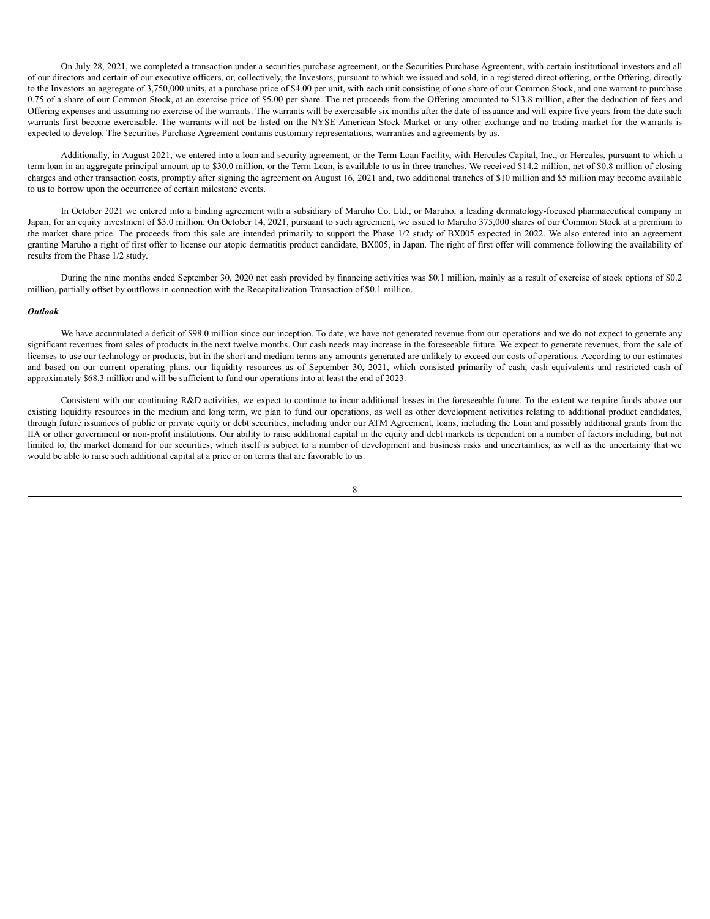On July 28, 2021, we completed a transaction under a securities purchase agreement, or the Securities Purchase Agreement, with certain institutional investors and all of our directors and certain of our executive officers, or, collectively, the Investors, pursuant to which we issued and sold, in a registered direct offering, or the Offering, directly to the Investors an aggregate of 3,750,000 units, at a purchase price of \$4.00 per unit, with each unit consisting of one share of our Common Stock, and one warrant to purchase 0.75 of a share of our Common Stock, at an exercise price of \$5.00 per share. The net proceeds from the Offering amounted to \$13.8 million, after the deduction of fees and Offering expenses and assuming no exercise of the warrants. The warrants will be exercisable six months after the date of issuance and will expire five years from the date such warrants first become exercisable. The warrants will not be listed on the NYSE American Stock Market or any other exchange and no trading market for the warrants is expected to develop. The Securities Purchase Agreement contains customary representations, warranties and agreements by us.

Additionally, in August 2021, we entered into a loan and security agreement, or the Term Loan Facility, with Hercules Capital, Inc., or Hercules, pursuant to which a term loan in an aggregate principal amount up to \$30.0 million, or the Term Loan, is available to us in three tranches. We received \$14.2 million, net of \$0.8 million of closing charges and other transaction costs, promptly after signing the agreement on August 16, 2021 and, two additional tranches of \$10 million and \$5 million may become available to us to borrow upon the occurrence of certain milestone events.

In October 2021 we entered into a binding agreement with a subsidiary of Maruho Co. Ltd., or Maruho, a leading dermatology-focused pharmaceutical company in Japan, for an equity investment of \$3.0 million. On October 14, 2021, pursuant to such agreement, we issued to Maruho 375,000 shares of our Common Stock at a premium to the market share price. The proceeds from this sale are intended primarily to support the Phase 1/2 study of BX005 expected in 2022. We also entered into an agreement granting Maruho a right of first offer to license our atopic dermatitis product candidate, BX005, in Japan. The right of first offer will commence following the availability of results from the Phase 1/2 study.

During the nine months ended September 30, 2020 net cash provided by financing activities was \$0.1 million, mainly as a result of exercise of stock options of \$0.2 million, partially offset by outflows in connection with the Recapitalization Transaction of \$0.1 million.

#### *Outlook*

We have accumulated a deficit of \$98.0 million since our inception. To date, we have not generated revenue from our operations and we do not expect to generate any significant revenues from sales of products in the next twelve months. Our cash needs may increase in the foreseeable future. We expect to generate revenues, from the sale of licenses to use our technology or products, but in the short and medium terms any amounts generated are unlikely to exceed our costs of operations. According to our estimates and based on our current operating plans, our liquidity resources as of September 30, 2021, which consisted primarily of cash, cash equivalents and restricted cash of approximately \$68.3 million and will be sufficient to fund our operations into at least the end of 2023.

Consistent with our continuing R&D activities, we expect to continue to incur additional losses in the foreseeable future. To the extent we require funds above our existing liquidity resources in the medium and long term, we plan to fund our operations, as well as other development activities relating to additional product candidates, through future issuances of public or private equity or debt securities, including under our ATM Agreement, loans, including the Loan and possibly additional grants from the IIA or other government or non-profit institutions. Our ability to raise additional capital in the equity and debt markets is dependent on a number of factors including, but not limited to, the market demand for our securities, which itself is subject to a number of development and business risks and uncertainties, as well as the uncertainty that we would be able to raise such additional capital at a price or on terms that are favorable to us.

8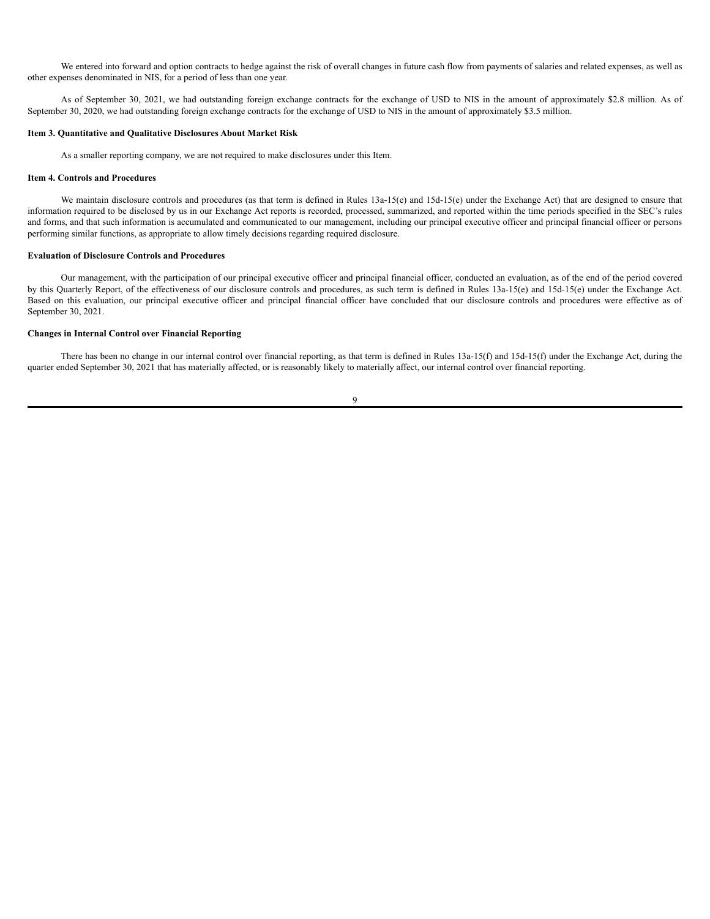We entered into forward and option contracts to hedge against the risk of overall changes in future cash flow from payments of salaries and related expenses, as well as other expenses denominated in NIS, for a period of less than one year.

As of September 30, 2021, we had outstanding foreign exchange contracts for the exchange of USD to NIS in the amount of approximately \$2.8 million. As of September 30, 2020, we had outstanding foreign exchange contracts for the exchange of USD to NIS in the amount of approximately \$3.5 million.

# <span id="page-28-0"></span>**Item 3. Quantitative and Qualitative Disclosures About Market Risk**

As a smaller reporting company, we are not required to make disclosures under this Item.

### <span id="page-28-1"></span>**Item 4. Controls and Procedures**

We maintain disclosure controls and procedures (as that term is defined in Rules 13a-15(e) and 15d-15(e) under the Exchange Act) that are designed to ensure that information required to be disclosed by us in our Exchange Act reports is recorded, processed, summarized, and reported within the time periods specified in the SEC's rules and forms, and that such information is accumulated and communicated to our management, including our principal executive officer and principal financial officer or persons performing similar functions, as appropriate to allow timely decisions regarding required disclosure.

### **Evaluation of Disclosure Controls and Procedures**

Our management, with the participation of our principal executive officer and principal financial officer, conducted an evaluation, as of the end of the period covered by this Quarterly Report, of the effectiveness of our disclosure controls and procedures, as such term is defined in Rules 13a-15(e) and 15d-15(e) under the Exchange Act. Based on this evaluation, our principal executive officer and principal financial officer have concluded that our disclosure controls and procedures were effective as of September 30, 2021.

### **Changes in Internal Control over Financial Reporting**

There has been no change in our internal control over financial reporting, as that term is defined in Rules 13a-15(f) and 15d-15(f) under the Exchange Act, during the quarter ended September 30, 2021 that has materially affected, or is reasonably likely to materially affect, our internal control over financial reporting.

 $\mathbf Q$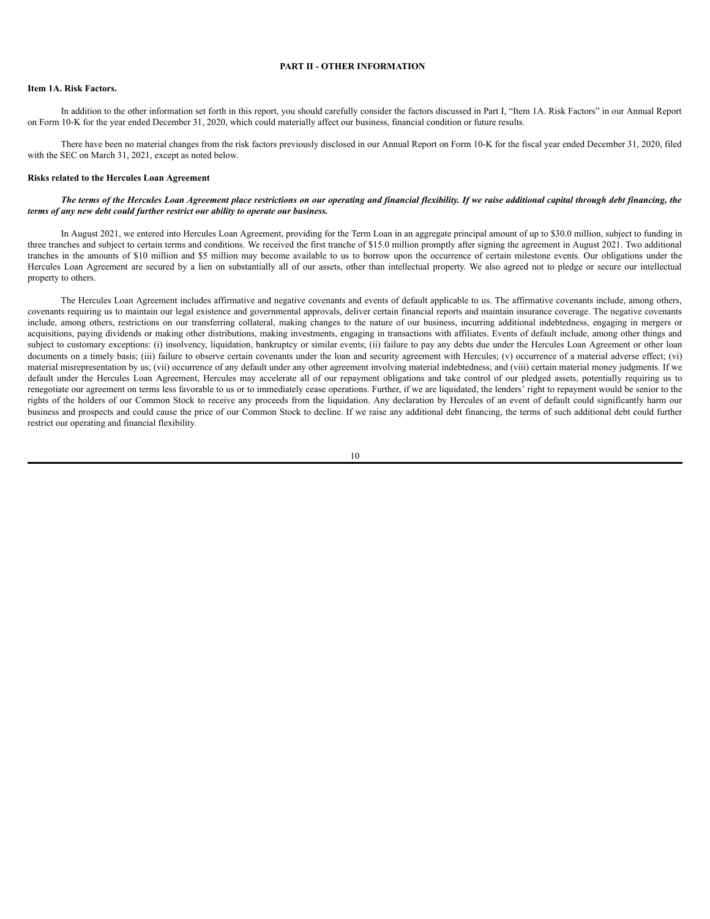# **PART II - OTHER INFORMATION**

### <span id="page-29-1"></span><span id="page-29-0"></span>**Item 1A. Risk Factors.**

In addition to the other information set forth in this report, you should carefully consider the factors discussed in Part I, "Item 1A. Risk Factors" in our Annual Report on Form 10-K for the year ended December 31, 2020, which could materially affect our business, financial condition or future results.

There have been no material changes from the risk factors previously disclosed in our Annual Report on Form 10-K for the fiscal year ended December 31, 2020, filed with the SEC on March 31, 2021, except as noted below.

### **Risks related to the Hercules Loan Agreement**

### The terms of the Hercules Loan Agreement place restrictions on our operating and financial flexibility. If we raise additional capital through debt financing, the *terms of any new debt could further restrict our ability to operate our business.*

In August 2021, we entered into Hercules Loan Agreement, providing for the Term Loan in an aggregate principal amount of up to \$30.0 million, subject to funding in three tranches and subject to certain terms and conditions. We received the first tranche of \$15.0 million promptly after signing the agreement in August 2021. Two additional tranches in the amounts of \$10 million and \$5 million may become available to us to borrow upon the occurrence of certain milestone events. Our obligations under the Hercules Loan Agreement are secured by a lien on substantially all of our assets, other than intellectual property. We also agreed not to pledge or secure our intellectual property to others.

The Hercules Loan Agreement includes affirmative and negative covenants and events of default applicable to us. The affirmative covenants include, among others, covenants requiring us to maintain our legal existence and governmental approvals, deliver certain financial reports and maintain insurance coverage. The negative covenants include, among others, restrictions on our transferring collateral, making changes to the nature of our business, incurring additional indebtedness, engaging in mergers or acquisitions, paying dividends or making other distributions, making investments, engaging in transactions with affiliates. Events of default include, among other things and subject to customary exceptions: (i) insolvency, liquidation, bankruptcy or similar events; (ii) failure to pay any debts due under the Hercules Loan Agreement or other loan documents on a timely basis; (iii) failure to observe certain covenants under the loan and security agreement with Hercules; (v) occurrence of a material adverse effect; (vi) material misrepresentation by us; (vii) occurrence of any default under any other agreement involving material indebtedness; and (viii) certain material money judgments. If we default under the Hercules Loan Agreement, Hercules may accelerate all of our repayment obligations and take control of our pledged assets, potentially requiring us to renegotiate our agreement on terms less favorable to us or to immediately cease operations. Further, if we are liquidated, the lenders' right to repayment would be senior to the rights of the holders of our Common Stock to receive any proceeds from the liquidation. Any declaration by Hercules of an event of default could significantly harm our business and prospects and could cause the price of our Common Stock to decline. If we raise any additional debt financing, the terms of such additional debt could further restrict our operating and financial flexibility.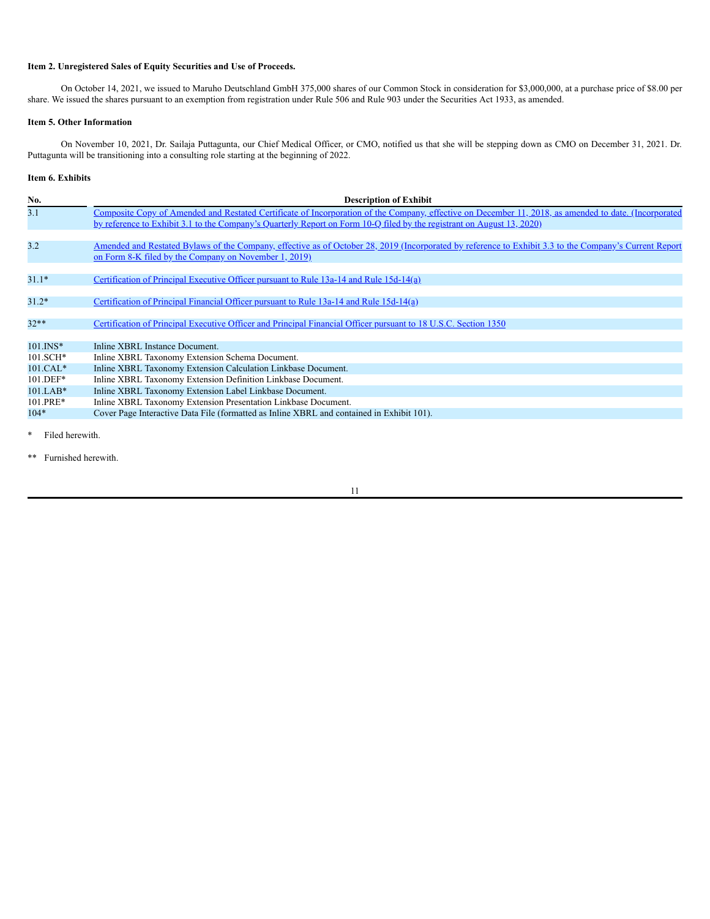# <span id="page-30-0"></span>**Item 2. Unregistered Sales of Equity Securities and Use of Proceeds.**

On October 14, 2021, we issued to Maruho Deutschland GmbH 375,000 shares of our Common Stock in consideration for \$3,000,000, at a purchase price of \$8.00 per share. We issued the shares pursuant to an exemption from registration under Rule 506 and Rule 903 under the Securities Act 1933, as amended.

## <span id="page-30-1"></span>**Item 5. Other Information**

On November 10, 2021, Dr. Sailaja Puttagunta, our Chief Medical Officer, or CMO, notified us that she will be stepping down as CMO on December 31, 2021. Dr. Puttagunta will be transitioning into a consulting role starting at the beginning of 2022.

## <span id="page-30-2"></span>**Item 6. Exhibits**

| No.          | <b>Description of Exhibit</b>                                                                                                                          |
|--------------|--------------------------------------------------------------------------------------------------------------------------------------------------------|
| 3.1          | Composite Copy of Amended and Restated Certificate of Incorporation of the Company, effective on December 11, 2018, as amended to date. (Incorporated  |
|              | by reference to Exhibit 3.1 to the Company's Quarterly Report on Form 10-Q filed by the registrant on August 13, 2020)                                 |
|              |                                                                                                                                                        |
| 3.2          | Amended and Restated Bylaws of the Company, effective as of October 28, 2019 (Incorporated by reference to Exhibit 3.3 to the Company's Current Report |
|              | on Form 8-K filed by the Company on November 1, 2019)                                                                                                  |
|              |                                                                                                                                                        |
| $31.1*$      | Certification of Principal Executive Officer pursuant to Rule 13a-14 and Rule 15d-14(a)                                                                |
|              |                                                                                                                                                        |
| $31.2*$      | Certification of Principal Financial Officer pursuant to Rule 13a-14 and Rule 15d-14(a)                                                                |
|              |                                                                                                                                                        |
| $32**$       | Certification of Principal Executive Officer and Principal Financial Officer pursuant to 18 U.S.C. Section 1350                                        |
|              |                                                                                                                                                        |
| $101$ . INS* | Inline XBRL Instance Document.                                                                                                                         |
| $101.SCH*$   | Inline XBRL Taxonomy Extension Schema Document.                                                                                                        |
| $101.CAL*$   | Inline XBRL Taxonomy Extension Calculation Linkbase Document.                                                                                          |
| $101.$ DEF*  | Inline XBRL Taxonomy Extension Definition Linkbase Document.                                                                                           |
| $101$ .LAB*  | Inline XBRL Taxonomy Extension Label Linkbase Document.                                                                                                |
| 101.PRE*     | Inline XBRL Taxonomy Extension Presentation Linkbase Document.                                                                                         |
| $104*$       | Cover Page Interactive Data File (formatted as Inline XBRL and contained in Exhibit 101).                                                              |

\* Filed herewith.

\*\* Furnished herewith.

11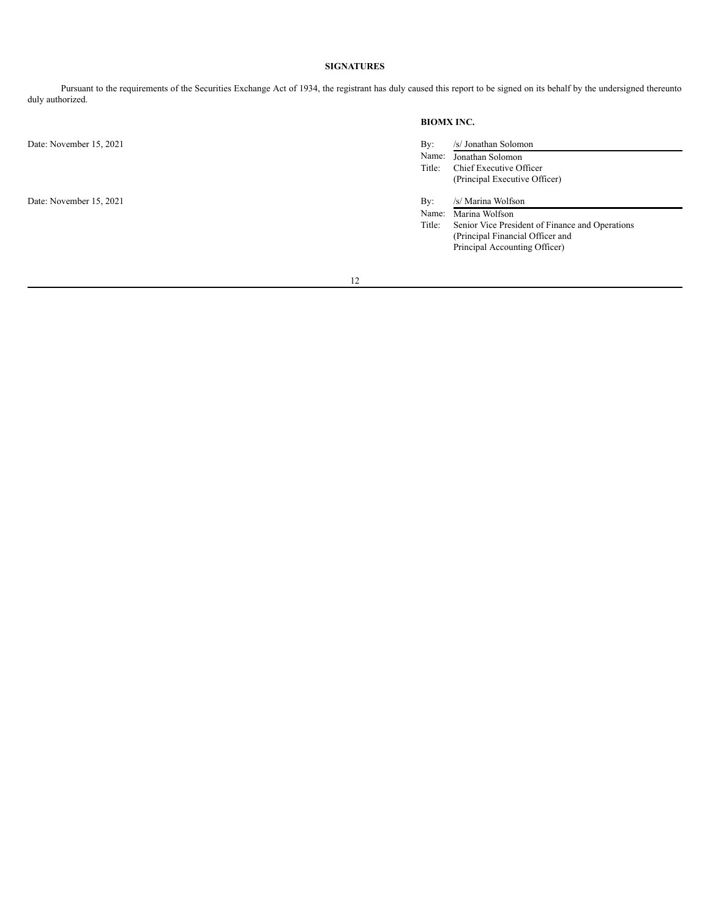# **SIGNATURES**

<span id="page-31-0"></span>Pursuant to the requirements of the Securities Exchange Act of 1934, the registrant has duly caused this report to be signed on its behalf by the undersigned thereunto duly authorized.

Date: November 15, 2021

Date: November 15, 2021

# **BIOMX INC.**

| By:    | /s/ Jonathan Solomon                            |
|--------|-------------------------------------------------|
|        | Name: Jonathan Solomon                          |
| Title: | Chief Executive Officer                         |
|        | (Principal Executive Officer)                   |
|        |                                                 |
| By:    | /s/ Marina Wolfson                              |
|        | Name: Marina Wolfson                            |
| Title: | Senior Vice President of Finance and Operations |

(Principal Financial Officer and Principal Accounting Officer)

12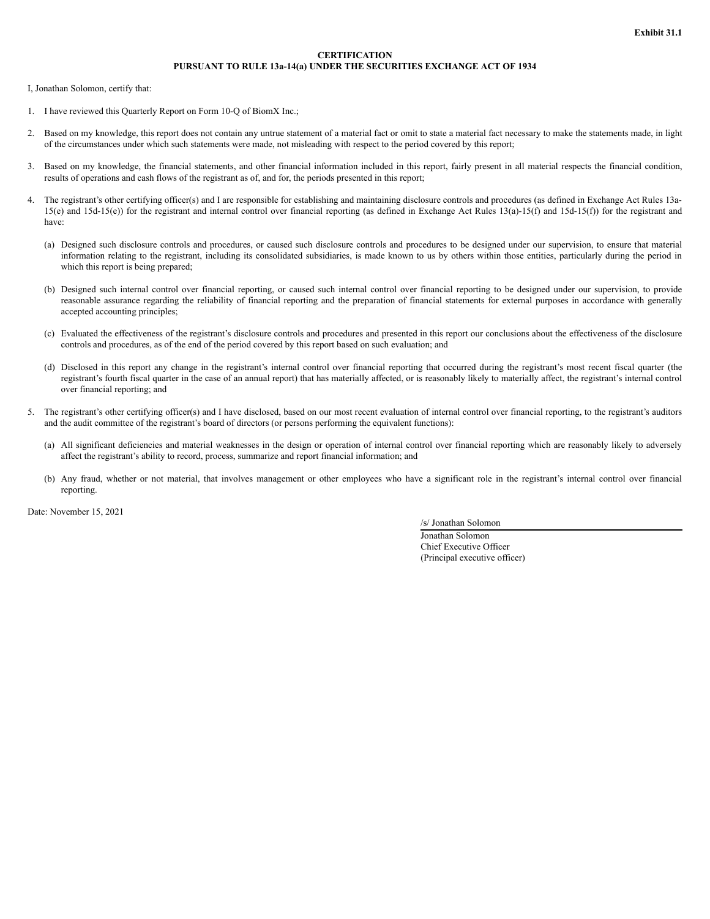### **CERTIFICATION PURSUANT TO RULE 13a-14(a) UNDER THE SECURITIES EXCHANGE ACT OF 1934**

I, Jonathan Solomon, certify that:

- 1. I have reviewed this Quarterly Report on Form 10-Q of BiomX Inc.;
- 2. Based on my knowledge, this report does not contain any untrue statement of a material fact or omit to state a material fact necessary to make the statements made, in light of the circumstances under which such statements were made, not misleading with respect to the period covered by this report;
- 3. Based on my knowledge, the financial statements, and other financial information included in this report, fairly present in all material respects the financial condition, results of operations and cash flows of the registrant as of, and for, the periods presented in this report;
- 4. The registrant's other certifying officer(s) and I are responsible for establishing and maintaining disclosure controls and procedures (as defined in Exchange Act Rules 13a-15(e) and 15d-15(e)) for the registrant and internal control over financial reporting (as defined in Exchange Act Rules 13(a)-15(f) and 15d-15(f)) for the registrant and have:
	- (a) Designed such disclosure controls and procedures, or caused such disclosure controls and procedures to be designed under our supervision, to ensure that material information relating to the registrant, including its consolidated subsidiaries, is made known to us by others within those entities, particularly during the period in which this report is being prepared;
	- (b) Designed such internal control over financial reporting, or caused such internal control over financial reporting to be designed under our supervision, to provide reasonable assurance regarding the reliability of financial reporting and the preparation of financial statements for external purposes in accordance with generally accepted accounting principles;
	- (c) Evaluated the effectiveness of the registrant's disclosure controls and procedures and presented in this report our conclusions about the effectiveness of the disclosure controls and procedures, as of the end of the period covered by this report based on such evaluation; and
	- (d) Disclosed in this report any change in the registrant's internal control over financial reporting that occurred during the registrant's most recent fiscal quarter (the registrant's fourth fiscal quarter in the case of an annual report) that has materially affected, or is reasonably likely to materially affect, the registrant's internal control over financial reporting; and
- 5. The registrant's other certifying officer(s) and I have disclosed, based on our most recent evaluation of internal control over financial reporting, to the registrant's auditors and the audit committee of the registrant's board of directors (or persons performing the equivalent functions):
	- (a) All significant deficiencies and material weaknesses in the design or operation of internal control over financial reporting which are reasonably likely to adversely affect the registrant's ability to record, process, summarize and report financial information; and
	- (b) Any fraud, whether or not material, that involves management or other employees who have a significant role in the registrant's internal control over financial reporting.

Date: November 15, 2021

/s/ Jonathan Solomon

Jonathan Solomon Chief Executive Officer (Principal executive officer)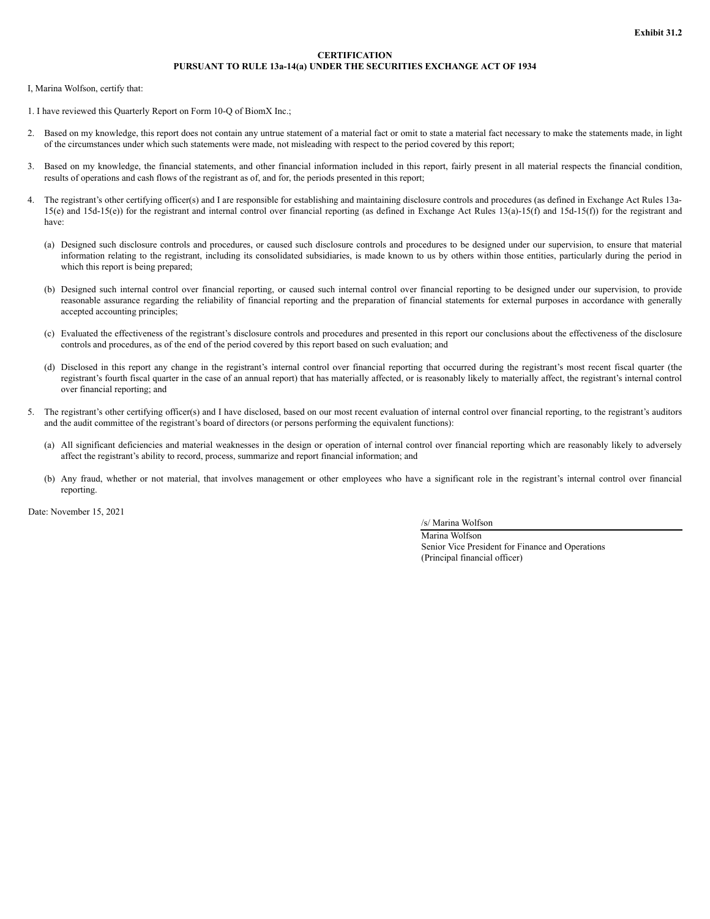### **CERTIFICATION PURSUANT TO RULE 13a-14(a) UNDER THE SECURITIES EXCHANGE ACT OF 1934**

I, Marina Wolfson, certify that:

- 1. I have reviewed this Quarterly Report on Form 10-Q of BiomX Inc.;
- 2. Based on my knowledge, this report does not contain any untrue statement of a material fact or omit to state a material fact necessary to make the statements made, in light of the circumstances under which such statements were made, not misleading with respect to the period covered by this report;
- 3. Based on my knowledge, the financial statements, and other financial information included in this report, fairly present in all material respects the financial condition, results of operations and cash flows of the registrant as of, and for, the periods presented in this report;
- 4. The registrant's other certifying officer(s) and I are responsible for establishing and maintaining disclosure controls and procedures (as defined in Exchange Act Rules 13a-15(e) and 15d-15(e)) for the registrant and internal control over financial reporting (as defined in Exchange Act Rules 13(a)-15(f) and 15d-15(f)) for the registrant and have:
	- (a) Designed such disclosure controls and procedures, or caused such disclosure controls and procedures to be designed under our supervision, to ensure that material information relating to the registrant, including its consolidated subsidiaries, is made known to us by others within those entities, particularly during the period in which this report is being prepared;
	- (b) Designed such internal control over financial reporting, or caused such internal control over financial reporting to be designed under our supervision, to provide reasonable assurance regarding the reliability of financial reporting and the preparation of financial statements for external purposes in accordance with generally accepted accounting principles;
	- (c) Evaluated the effectiveness of the registrant's disclosure controls and procedures and presented in this report our conclusions about the effectiveness of the disclosure controls and procedures, as of the end of the period covered by this report based on such evaluation; and
	- (d) Disclosed in this report any change in the registrant's internal control over financial reporting that occurred during the registrant's most recent fiscal quarter (the registrant's fourth fiscal quarter in the case of an annual report) that has materially affected, or is reasonably likely to materially affect, the registrant's internal control over financial reporting; and
- 5. The registrant's other certifying officer(s) and I have disclosed, based on our most recent evaluation of internal control over financial reporting, to the registrant's auditors and the audit committee of the registrant's board of directors (or persons performing the equivalent functions):
	- (a) All significant deficiencies and material weaknesses in the design or operation of internal control over financial reporting which are reasonably likely to adversely affect the registrant's ability to record, process, summarize and report financial information; and
	- (b) Any fraud, whether or not material, that involves management or other employees who have a significant role in the registrant's internal control over financial reporting.

Date: November 15, 2021

/s/ Marina Wolfson

Marina Wolfson Senior Vice President for Finance and Operations (Principal financial officer)